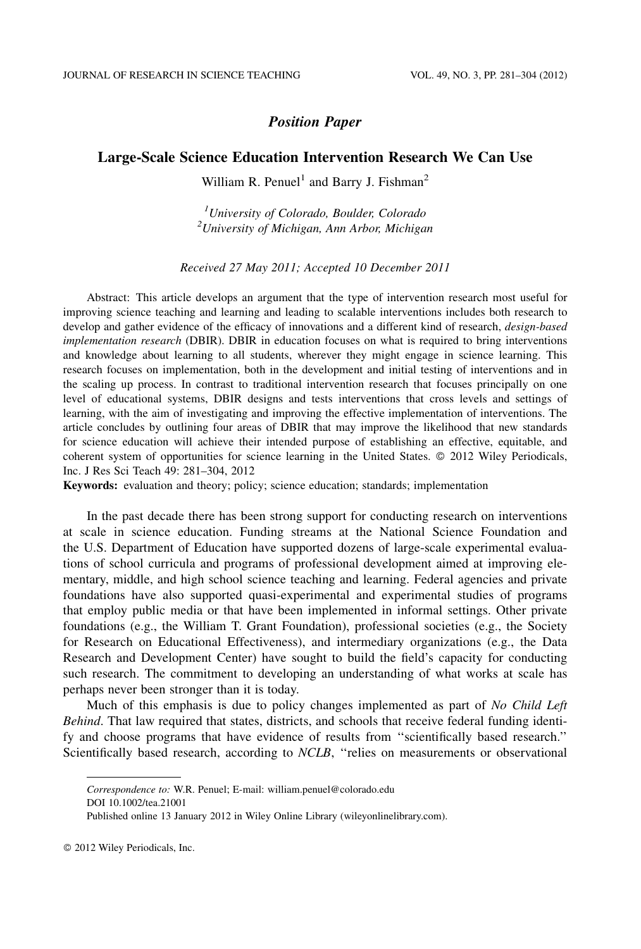## Position Paper

# Large-Scale Science Education Intervention Research We Can Use

William R. Penuel<sup>1</sup> and Barry J. Fishman<sup>2</sup>

<sup>1</sup>University of Colorado, Boulder, Colorado<sup>2</sup>University of Michigan Ann Arbor Michiga  $2$ University of Michigan, Ann Arbor, Michigan

Received 27 May 2011; Accepted 10 December 2011

Abstract: This article develops an argument that the type of intervention research most useful for improving science teaching and learning and leading to scalable interventions includes both research to develop and gather evidence of the efficacy of innovations and a different kind of research, design-based implementation research (DBIR). DBIR in education focuses on what is required to bring interventions and knowledge about learning to all students, wherever they might engage in science learning. This research focuses on implementation, both in the development and initial testing of interventions and in the scaling up process. In contrast to traditional intervention research that focuses principally on one level of educational systems, DBIR designs and tests interventions that cross levels and settings of learning, with the aim of investigating and improving the effective implementation of interventions. The article concludes by outlining four areas of DBIR that may improve the likelihood that new standards for science education will achieve their intended purpose of establishing an effective, equitable, and coherent system of opportunities for science learning in the United States.  $© 2012$  Wiley Periodicals, Inc. J Res Sci Teach 49: 281–304, 2012

Keywords: evaluation and theory; policy; science education; standards; implementation

In the past decade there has been strong support for conducting research on interventions at scale in science education. Funding streams at the National Science Foundation and the U.S. Department of Education have supported dozens of large-scale experimental evaluations of school curricula and programs of professional development aimed at improving elementary, middle, and high school science teaching and learning. Federal agencies and private foundations have also supported quasi-experimental and experimental studies of programs that employ public media or that have been implemented in informal settings. Other private foundations (e.g., the William T. Grant Foundation), professional societies (e.g., the Society for Research on Educational Effectiveness), and intermediary organizations (e.g., the Data Research and Development Center) have sought to build the field's capacity for conducting such research. The commitment to developing an understanding of what works at scale has perhaps never been stronger than it is today.

Much of this emphasis is due to policy changes implemented as part of No Child Left Behind. That law required that states, districts, and schools that receive federal funding identify and choose programs that have evidence of results from ''scientifically based research.'' Scientifically based research, according to NCLB, ''relies on measurements or observational

Correspondence to: W.R. Penuel; E-mail: william.penuel@colorado.edu

DOI 10.1002/tea.21001

Published online 13 January 2012 in Wiley Online Library (wileyonlinelibrary.com).

2012 Wiley Periodicals, Inc.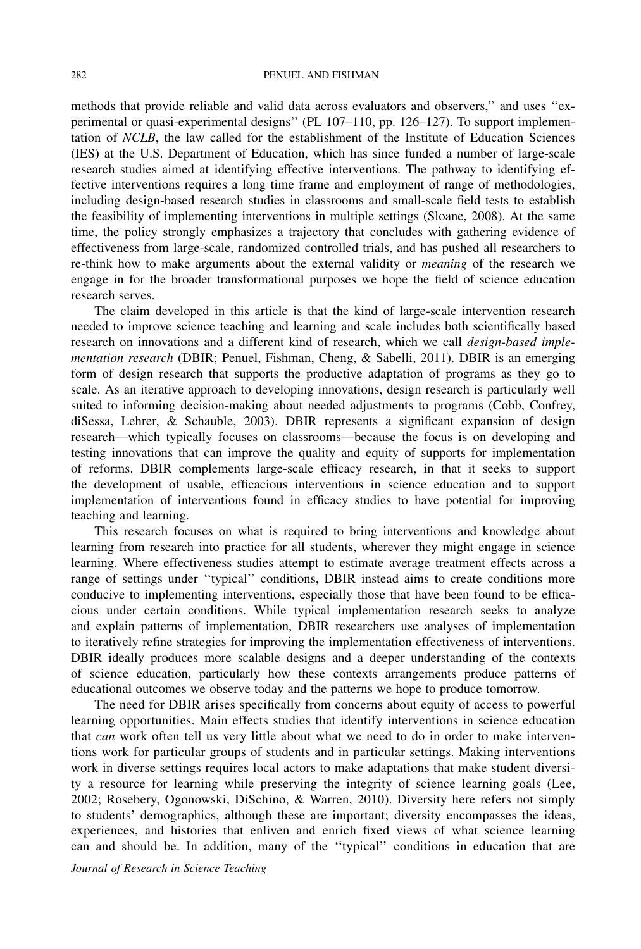methods that provide reliable and valid data across evaluators and observers,'' and uses ''experimental or quasi-experimental designs'' (PL 107–110, pp. 126–127). To support implementation of NCLB, the law called for the establishment of the Institute of Education Sciences (IES) at the U.S. Department of Education, which has since funded a number of large-scale research studies aimed at identifying effective interventions. The pathway to identifying effective interventions requires a long time frame and employment of range of methodologies, including design-based research studies in classrooms and small-scale field tests to establish the feasibility of implementing interventions in multiple settings (Sloane, 2008). At the same time, the policy strongly emphasizes a trajectory that concludes with gathering evidence of effectiveness from large-scale, randomized controlled trials, and has pushed all researchers to re-think how to make arguments about the external validity or meaning of the research we engage in for the broader transformational purposes we hope the field of science education research serves.

The claim developed in this article is that the kind of large-scale intervention research needed to improve science teaching and learning and scale includes both scientifically based research on innovations and a different kind of research, which we call *design-based imple*mentation research (DBIR; Penuel, Fishman, Cheng, & Sabelli, 2011). DBIR is an emerging form of design research that supports the productive adaptation of programs as they go to scale. As an iterative approach to developing innovations, design research is particularly well suited to informing decision-making about needed adjustments to programs (Cobb, Confrey, diSessa, Lehrer, & Schauble, 2003). DBIR represents a significant expansion of design research—which typically focuses on classrooms—because the focus is on developing and testing innovations that can improve the quality and equity of supports for implementation of reforms. DBIR complements large-scale efficacy research, in that it seeks to support the development of usable, efficacious interventions in science education and to support implementation of interventions found in efficacy studies to have potential for improving teaching and learning.

This research focuses on what is required to bring interventions and knowledge about learning from research into practice for all students, wherever they might engage in science learning. Where effectiveness studies attempt to estimate average treatment effects across a range of settings under ''typical'' conditions, DBIR instead aims to create conditions more conducive to implementing interventions, especially those that have been found to be efficacious under certain conditions. While typical implementation research seeks to analyze and explain patterns of implementation, DBIR researchers use analyses of implementation to iteratively refine strategies for improving the implementation effectiveness of interventions. DBIR ideally produces more scalable designs and a deeper understanding of the contexts of science education, particularly how these contexts arrangements produce patterns of educational outcomes we observe today and the patterns we hope to produce tomorrow.

The need for DBIR arises specifically from concerns about equity of access to powerful learning opportunities. Main effects studies that identify interventions in science education that can work often tell us very little about what we need to do in order to make interventions work for particular groups of students and in particular settings. Making interventions work in diverse settings requires local actors to make adaptations that make student diversity a resource for learning while preserving the integrity of science learning goals (Lee, 2002; Rosebery, Ogonowski, DiSchino, & Warren, 2010). Diversity here refers not simply to students' demographics, although these are important; diversity encompasses the ideas, experiences, and histories that enliven and enrich fixed views of what science learning can and should be. In addition, many of the ''typical'' conditions in education that are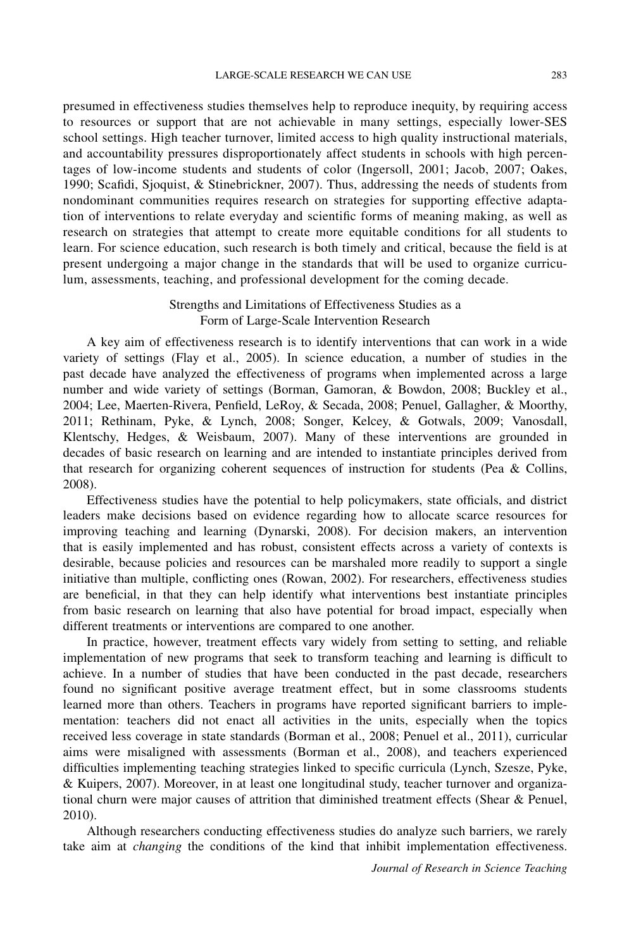presumed in effectiveness studies themselves help to reproduce inequity, by requiring access to resources or support that are not achievable in many settings, especially lower-SES school settings. High teacher turnover, limited access to high quality instructional materials, and accountability pressures disproportionately affect students in schools with high percentages of low-income students and students of color (Ingersoll, 2001; Jacob, 2007; Oakes, 1990; Scafidi, Sjoquist, & Stinebrickner, 2007). Thus, addressing the needs of students from nondominant communities requires research on strategies for supporting effective adaptation of interventions to relate everyday and scientific forms of meaning making, as well as research on strategies that attempt to create more equitable conditions for all students to learn. For science education, such research is both timely and critical, because the field is at present undergoing a major change in the standards that will be used to organize curriculum, assessments, teaching, and professional development for the coming decade.

## Strengths and Limitations of Effectiveness Studies as a Form of Large-Scale Intervention Research

A key aim of effectiveness research is to identify interventions that can work in a wide variety of settings (Flay et al., 2005). In science education, a number of studies in the past decade have analyzed the effectiveness of programs when implemented across a large number and wide variety of settings (Borman, Gamoran, & Bowdon, 2008; Buckley et al., 2004; Lee, Maerten-Rivera, Penfield, LeRoy, & Secada, 2008; Penuel, Gallagher, & Moorthy, 2011; Rethinam, Pyke, & Lynch, 2008; Songer, Kelcey, & Gotwals, 2009; Vanosdall, Klentschy, Hedges, & Weisbaum, 2007). Many of these interventions are grounded in decades of basic research on learning and are intended to instantiate principles derived from that research for organizing coherent sequences of instruction for students (Pea & Collins, 2008).

Effectiveness studies have the potential to help policymakers, state officials, and district leaders make decisions based on evidence regarding how to allocate scarce resources for improving teaching and learning (Dynarski, 2008). For decision makers, an intervention that is easily implemented and has robust, consistent effects across a variety of contexts is desirable, because policies and resources can be marshaled more readily to support a single initiative than multiple, conflicting ones (Rowan, 2002). For researchers, effectiveness studies are beneficial, in that they can help identify what interventions best instantiate principles from basic research on learning that also have potential for broad impact, especially when different treatments or interventions are compared to one another.

In practice, however, treatment effects vary widely from setting to setting, and reliable implementation of new programs that seek to transform teaching and learning is difficult to achieve. In a number of studies that have been conducted in the past decade, researchers found no significant positive average treatment effect, but in some classrooms students learned more than others. Teachers in programs have reported significant barriers to implementation: teachers did not enact all activities in the units, especially when the topics received less coverage in state standards (Borman et al., 2008; Penuel et al., 2011), curricular aims were misaligned with assessments (Borman et al., 2008), and teachers experienced difficulties implementing teaching strategies linked to specific curricula (Lynch, Szesze, Pyke, & Kuipers, 2007). Moreover, in at least one longitudinal study, teacher turnover and organizational churn were major causes of attrition that diminished treatment effects (Shear & Penuel, 2010).

Although researchers conducting effectiveness studies do analyze such barriers, we rarely take aim at changing the conditions of the kind that inhibit implementation effectiveness.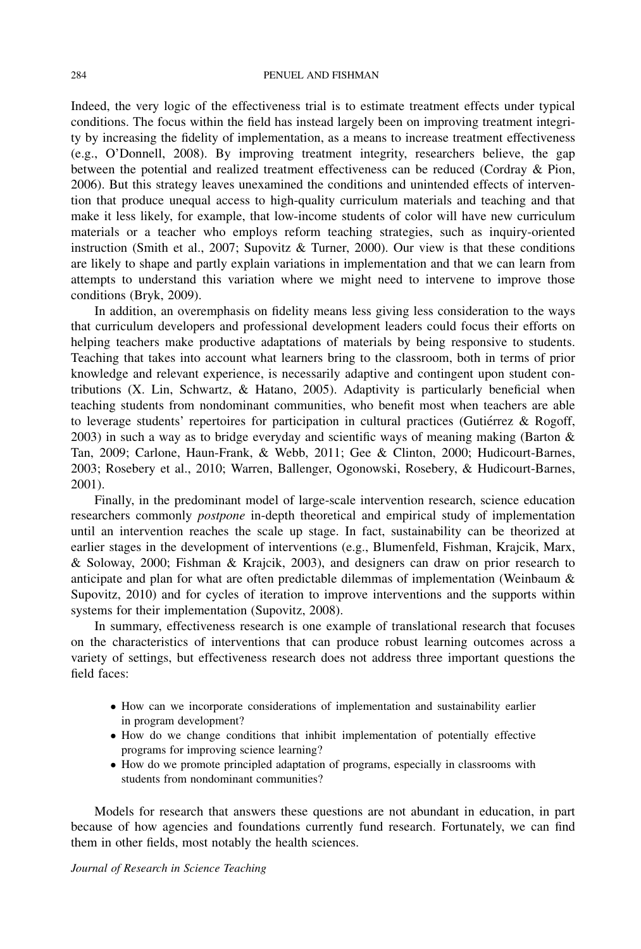Indeed, the very logic of the effectiveness trial is to estimate treatment effects under typical conditions. The focus within the field has instead largely been on improving treatment integrity by increasing the fidelity of implementation, as a means to increase treatment effectiveness (e.g., O'Donnell, 2008). By improving treatment integrity, researchers believe, the gap between the potential and realized treatment effectiveness can be reduced (Cordray & Pion, 2006). But this strategy leaves unexamined the conditions and unintended effects of intervention that produce unequal access to high-quality curriculum materials and teaching and that make it less likely, for example, that low-income students of color will have new curriculum materials or a teacher who employs reform teaching strategies, such as inquiry-oriented instruction (Smith et al., 2007; Supovitz & Turner, 2000). Our view is that these conditions are likely to shape and partly explain variations in implementation and that we can learn from attempts to understand this variation where we might need to intervene to improve those conditions (Bryk, 2009).

In addition, an overemphasis on fidelity means less giving less consideration to the ways that curriculum developers and professional development leaders could focus their efforts on helping teachers make productive adaptations of materials by being responsive to students. Teaching that takes into account what learners bring to the classroom, both in terms of prior knowledge and relevant experience, is necessarily adaptive and contingent upon student contributions (X. Lin, Schwartz, & Hatano, 2005). Adaptivity is particularly beneficial when teaching students from nondominant communities, who benefit most when teachers are able to leverage students' repertoires for participation in cultural practices (Gutiérrez  $\&$  Rogoff, 2003) in such a way as to bridge everyday and scientific ways of meaning making (Barton  $\&$ Tan, 2009; Carlone, Haun-Frank, & Webb, 2011; Gee & Clinton, 2000; Hudicourt-Barnes, 2003; Rosebery et al., 2010; Warren, Ballenger, Ogonowski, Rosebery, & Hudicourt-Barnes, 2001).

Finally, in the predominant model of large-scale intervention research, science education researchers commonly *postpone* in-depth theoretical and empirical study of implementation until an intervention reaches the scale up stage. In fact, sustainability can be theorized at earlier stages in the development of interventions (e.g., Blumenfeld, Fishman, Krajcik, Marx, & Soloway, 2000; Fishman & Krajcik, 2003), and designers can draw on prior research to anticipate and plan for what are often predictable dilemmas of implementation (Weinbaum & Supovitz, 2010) and for cycles of iteration to improve interventions and the supports within systems for their implementation (Supovitz, 2008).

In summary, effectiveness research is one example of translational research that focuses on the characteristics of interventions that can produce robust learning outcomes across a variety of settings, but effectiveness research does not address three important questions the field faces:

- How can we incorporate considerations of implementation and sustainability earlier in program development?
- How do we change conditions that inhibit implementation of potentially effective programs for improving science learning?
- How do we promote principled adaptation of programs, especially in classrooms with students from nondominant communities?

Models for research that answers these questions are not abundant in education, in part because of how agencies and foundations currently fund research. Fortunately, we can find them in other fields, most notably the health sciences.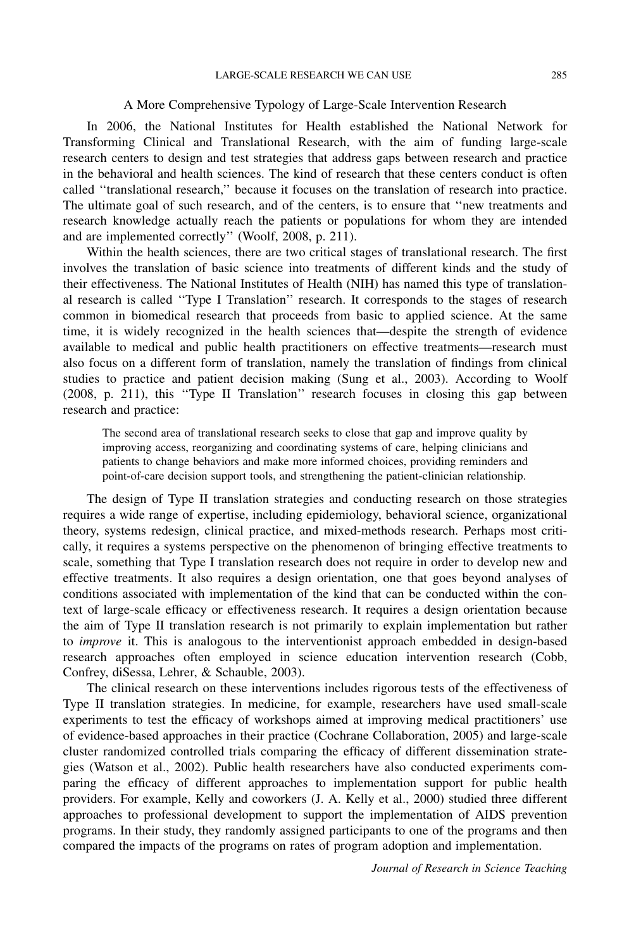### A More Comprehensive Typology of Large-Scale Intervention Research

In 2006, the National Institutes for Health established the National Network for Transforming Clinical and Translational Research, with the aim of funding large-scale research centers to design and test strategies that address gaps between research and practice in the behavioral and health sciences. The kind of research that these centers conduct is often called ''translational research,'' because it focuses on the translation of research into practice. The ultimate goal of such research, and of the centers, is to ensure that ''new treatments and research knowledge actually reach the patients or populations for whom they are intended and are implemented correctly'' (Woolf, 2008, p. 211).

Within the health sciences, there are two critical stages of translational research. The first involves the translation of basic science into treatments of different kinds and the study of their effectiveness. The National Institutes of Health (NIH) has named this type of translational research is called ''Type I Translation'' research. It corresponds to the stages of research common in biomedical research that proceeds from basic to applied science. At the same time, it is widely recognized in the health sciences that—despite the strength of evidence available to medical and public health practitioners on effective treatments—research must also focus on a different form of translation, namely the translation of findings from clinical studies to practice and patient decision making (Sung et al., 2003). According to Woolf (2008, p. 211), this ''Type II Translation'' research focuses in closing this gap between research and practice:

The second area of translational research seeks to close that gap and improve quality by improving access, reorganizing and coordinating systems of care, helping clinicians and patients to change behaviors and make more informed choices, providing reminders and point-of-care decision support tools, and strengthening the patient-clinician relationship.

The design of Type II translation strategies and conducting research on those strategies requires a wide range of expertise, including epidemiology, behavioral science, organizational theory, systems redesign, clinical practice, and mixed-methods research. Perhaps most critically, it requires a systems perspective on the phenomenon of bringing effective treatments to scale, something that Type I translation research does not require in order to develop new and effective treatments. It also requires a design orientation, one that goes beyond analyses of conditions associated with implementation of the kind that can be conducted within the context of large-scale efficacy or effectiveness research. It requires a design orientation because the aim of Type II translation research is not primarily to explain implementation but rather to improve it. This is analogous to the interventionist approach embedded in design-based research approaches often employed in science education intervention research (Cobb, Confrey, diSessa, Lehrer, & Schauble, 2003).

The clinical research on these interventions includes rigorous tests of the effectiveness of Type II translation strategies. In medicine, for example, researchers have used small-scale experiments to test the efficacy of workshops aimed at improving medical practitioners' use of evidence-based approaches in their practice (Cochrane Collaboration, 2005) and large-scale cluster randomized controlled trials comparing the efficacy of different dissemination strategies (Watson et al., 2002). Public health researchers have also conducted experiments comparing the efficacy of different approaches to implementation support for public health providers. For example, Kelly and coworkers (J. A. Kelly et al., 2000) studied three different approaches to professional development to support the implementation of AIDS prevention programs. In their study, they randomly assigned participants to one of the programs and then compared the impacts of the programs on rates of program adoption and implementation.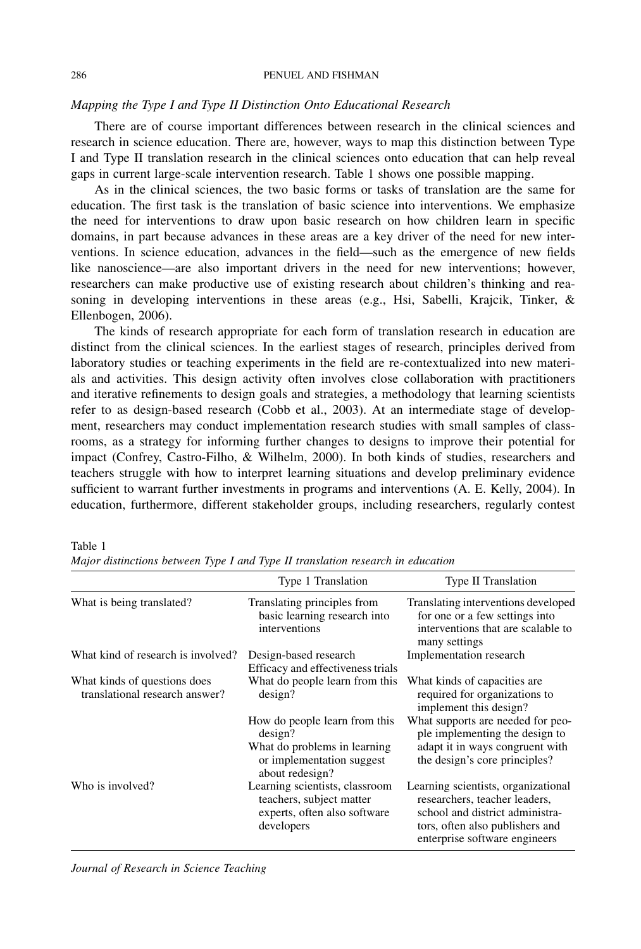### Mapping the Type I and Type II Distinction Onto Educational Research

There are of course important differences between research in the clinical sciences and research in science education. There are, however, ways to map this distinction between Type I and Type II translation research in the clinical sciences onto education that can help reveal gaps in current large-scale intervention research. Table 1 shows one possible mapping.

As in the clinical sciences, the two basic forms or tasks of translation are the same for education. The first task is the translation of basic science into interventions. We emphasize the need for interventions to draw upon basic research on how children learn in specific domains, in part because advances in these areas are a key driver of the need for new interventions. In science education, advances in the field—such as the emergence of new fields like nanoscience—are also important drivers in the need for new interventions; however, researchers can make productive use of existing research about children's thinking and reasoning in developing interventions in these areas (e.g., Hsi, Sabelli, Krajcik, Tinker, & Ellenbogen, 2006).

The kinds of research appropriate for each form of translation research in education are distinct from the clinical sciences. In the earliest stages of research, principles derived from laboratory studies or teaching experiments in the field are re-contextualized into new materials and activities. This design activity often involves close collaboration with practitioners and iterative refinements to design goals and strategies, a methodology that learning scientists refer to as design-based research (Cobb et al., 2003). At an intermediate stage of development, researchers may conduct implementation research studies with small samples of classrooms, as a strategy for informing further changes to designs to improve their potential for impact (Confrey, Castro-Filho, & Wilhelm, 2000). In both kinds of studies, researchers and teachers struggle with how to interpret learning situations and develop preliminary evidence sufficient to warrant further investments in programs and interventions (A. E. Kelly, 2004). In education, furthermore, different stakeholder groups, including researchers, regularly contest

|                                                                | Type 1 Translation                                                                                                       | Type II Translation                                                                                                                                                         |
|----------------------------------------------------------------|--------------------------------------------------------------------------------------------------------------------------|-----------------------------------------------------------------------------------------------------------------------------------------------------------------------------|
| What is being translated?                                      | Translating principles from<br>basic learning research into<br>interventions                                             | Translating interventions developed<br>for one or a few settings into<br>interventions that are scalable to<br>many settings                                                |
| What kind of research is involved?                             | Design-based research<br>Efficacy and effectiveness trials                                                               | Implementation research                                                                                                                                                     |
| What kinds of questions does<br>translational research answer? | What do people learn from this<br>design?                                                                                | What kinds of capacities are.<br>required for organizations to<br>implement this design?                                                                                    |
|                                                                | How do people learn from this<br>design?<br>What do problems in learning<br>or implementation suggest<br>about redesign? | What supports are needed for peo-<br>ple implementing the design to<br>adapt it in ways congruent with<br>the design's core principles?                                     |
| Who is involved?                                               | Learning scientists, classroom<br>teachers, subject matter<br>experts, often also software<br>developers                 | Learning scientists, organizational<br>researchers, teacher leaders,<br>school and district administra-<br>tors, often also publishers and<br>enterprise software engineers |

Table 1

Journal of Research in Science Teaching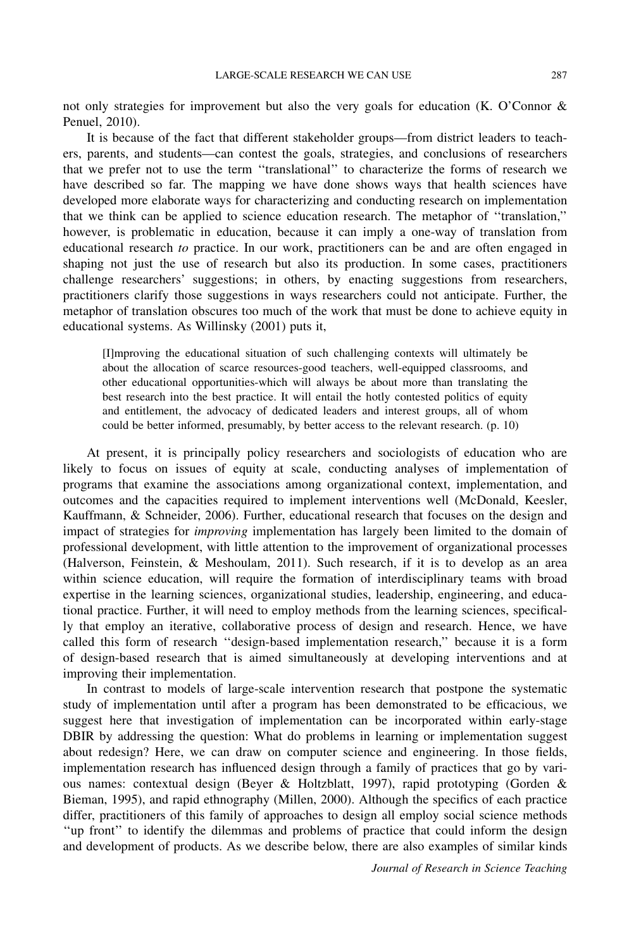not only strategies for improvement but also the very goals for education (K. O'Connor & Penuel, 2010).

It is because of the fact that different stakeholder groups—from district leaders to teachers, parents, and students—can contest the goals, strategies, and conclusions of researchers that we prefer not to use the term ''translational'' to characterize the forms of research we have described so far. The mapping we have done shows ways that health sciences have developed more elaborate ways for characterizing and conducting research on implementation that we think can be applied to science education research. The metaphor of ''translation,'' however, is problematic in education, because it can imply a one-way of translation from educational research to practice. In our work, practitioners can be and are often engaged in shaping not just the use of research but also its production. In some cases, practitioners challenge researchers' suggestions; in others, by enacting suggestions from researchers, practitioners clarify those suggestions in ways researchers could not anticipate. Further, the metaphor of translation obscures too much of the work that must be done to achieve equity in educational systems. As Willinsky (2001) puts it,

[I]mproving the educational situation of such challenging contexts will ultimately be about the allocation of scarce resources-good teachers, well-equipped classrooms, and other educational opportunities-which will always be about more than translating the best research into the best practice. It will entail the hotly contested politics of equity and entitlement, the advocacy of dedicated leaders and interest groups, all of whom could be better informed, presumably, by better access to the relevant research. (p. 10)

At present, it is principally policy researchers and sociologists of education who are likely to focus on issues of equity at scale, conducting analyses of implementation of programs that examine the associations among organizational context, implementation, and outcomes and the capacities required to implement interventions well (McDonald, Keesler, Kauffmann, & Schneider, 2006). Further, educational research that focuses on the design and impact of strategies for improving implementation has largely been limited to the domain of professional development, with little attention to the improvement of organizational processes (Halverson, Feinstein, & Meshoulam, 2011). Such research, if it is to develop as an area within science education, will require the formation of interdisciplinary teams with broad expertise in the learning sciences, organizational studies, leadership, engineering, and educational practice. Further, it will need to employ methods from the learning sciences, specifically that employ an iterative, collaborative process of design and research. Hence, we have called this form of research ''design-based implementation research,'' because it is a form of design-based research that is aimed simultaneously at developing interventions and at improving their implementation.

In contrast to models of large-scale intervention research that postpone the systematic study of implementation until after a program has been demonstrated to be efficacious, we suggest here that investigation of implementation can be incorporated within early-stage DBIR by addressing the question: What do problems in learning or implementation suggest about redesign? Here, we can draw on computer science and engineering. In those fields, implementation research has influenced design through a family of practices that go by various names: contextual design (Beyer & Holtzblatt, 1997), rapid prototyping (Gorden & Bieman, 1995), and rapid ethnography (Millen, 2000). Although the specifics of each practice differ, practitioners of this family of approaches to design all employ social science methods ''up front'' to identify the dilemmas and problems of practice that could inform the design and development of products. As we describe below, there are also examples of similar kinds

Journal of Research in Science Teaching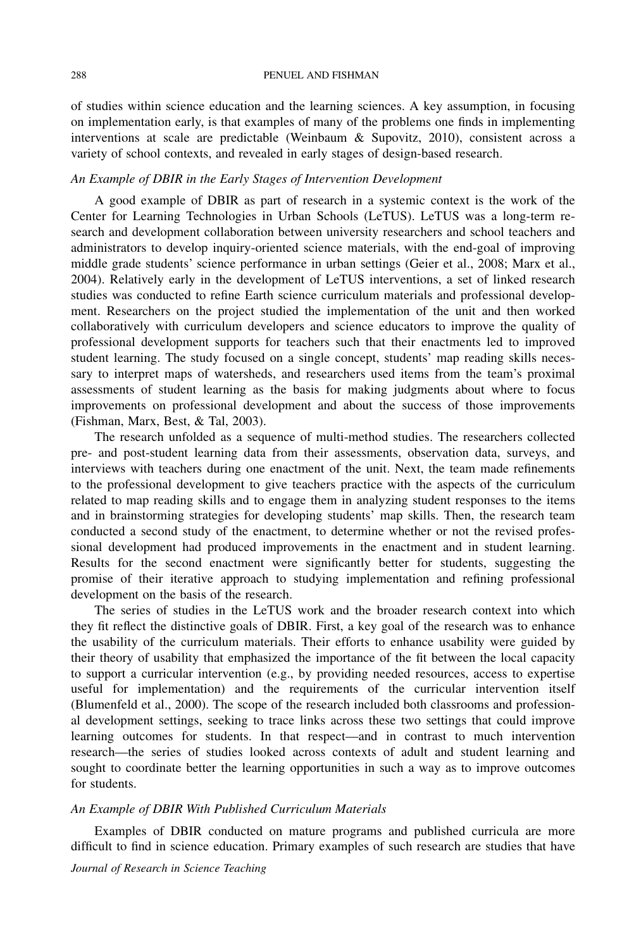of studies within science education and the learning sciences. A key assumption, in focusing on implementation early, is that examples of many of the problems one finds in implementing interventions at scale are predictable (Weinbaum & Supovitz, 2010), consistent across a variety of school contexts, and revealed in early stages of design-based research.

### An Example of DBIR in the Early Stages of Intervention Development

A good example of DBIR as part of research in a systemic context is the work of the Center for Learning Technologies in Urban Schools (LeTUS). LeTUS was a long-term research and development collaboration between university researchers and school teachers and administrators to develop inquiry-oriented science materials, with the end-goal of improving middle grade students' science performance in urban settings (Geier et al., 2008; Marx et al., 2004). Relatively early in the development of LeTUS interventions, a set of linked research studies was conducted to refine Earth science curriculum materials and professional development. Researchers on the project studied the implementation of the unit and then worked collaboratively with curriculum developers and science educators to improve the quality of professional development supports for teachers such that their enactments led to improved student learning. The study focused on a single concept, students' map reading skills necessary to interpret maps of watersheds, and researchers used items from the team's proximal assessments of student learning as the basis for making judgments about where to focus improvements on professional development and about the success of those improvements (Fishman, Marx, Best, & Tal, 2003).

The research unfolded as a sequence of multi-method studies. The researchers collected pre- and post-student learning data from their assessments, observation data, surveys, and interviews with teachers during one enactment of the unit. Next, the team made refinements to the professional development to give teachers practice with the aspects of the curriculum related to map reading skills and to engage them in analyzing student responses to the items and in brainstorming strategies for developing students' map skills. Then, the research team conducted a second study of the enactment, to determine whether or not the revised professional development had produced improvements in the enactment and in student learning. Results for the second enactment were significantly better for students, suggesting the promise of their iterative approach to studying implementation and refining professional development on the basis of the research.

The series of studies in the LeTUS work and the broader research context into which they fit reflect the distinctive goals of DBIR. First, a key goal of the research was to enhance the usability of the curriculum materials. Their efforts to enhance usability were guided by their theory of usability that emphasized the importance of the fit between the local capacity to support a curricular intervention (e.g., by providing needed resources, access to expertise useful for implementation) and the requirements of the curricular intervention itself (Blumenfeld et al., 2000). The scope of the research included both classrooms and professional development settings, seeking to trace links across these two settings that could improve learning outcomes for students. In that respect—and in contrast to much intervention research—the series of studies looked across contexts of adult and student learning and sought to coordinate better the learning opportunities in such a way as to improve outcomes for students.

# An Example of DBIR With Published Curriculum Materials

Examples of DBIR conducted on mature programs and published curricula are more difficult to find in science education. Primary examples of such research are studies that have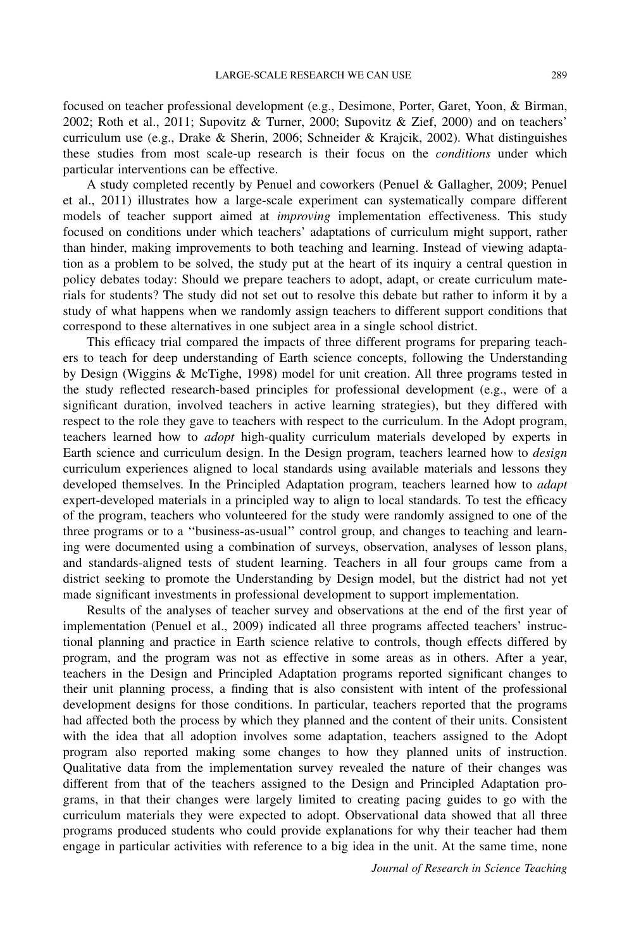focused on teacher professional development (e.g., Desimone, Porter, Garet, Yoon, & Birman, 2002; Roth et al., 2011; Supovitz & Turner, 2000; Supovitz & Zief, 2000) and on teachers' curriculum use (e.g., Drake & Sherin, 2006; Schneider & Krajcik, 2002). What distinguishes these studies from most scale-up research is their focus on the *conditions* under which particular interventions can be effective.

A study completed recently by Penuel and coworkers (Penuel & Gallagher, 2009; Penuel et al., 2011) illustrates how a large-scale experiment can systematically compare different models of teacher support aimed at improving implementation effectiveness. This study focused on conditions under which teachers' adaptations of curriculum might support, rather than hinder, making improvements to both teaching and learning. Instead of viewing adaptation as a problem to be solved, the study put at the heart of its inquiry a central question in policy debates today: Should we prepare teachers to adopt, adapt, or create curriculum materials for students? The study did not set out to resolve this debate but rather to inform it by a study of what happens when we randomly assign teachers to different support conditions that correspond to these alternatives in one subject area in a single school district.

This efficacy trial compared the impacts of three different programs for preparing teachers to teach for deep understanding of Earth science concepts, following the Understanding by Design (Wiggins & McTighe, 1998) model for unit creation. All three programs tested in the study reflected research-based principles for professional development (e.g., were of a significant duration, involved teachers in active learning strategies), but they differed with respect to the role they gave to teachers with respect to the curriculum. In the Adopt program, teachers learned how to adopt high-quality curriculum materials developed by experts in Earth science and curriculum design. In the Design program, teachers learned how to *design* curriculum experiences aligned to local standards using available materials and lessons they developed themselves. In the Principled Adaptation program, teachers learned how to *adapt* expert-developed materials in a principled way to align to local standards. To test the efficacy of the program, teachers who volunteered for the study were randomly assigned to one of the three programs or to a ''business-as-usual'' control group, and changes to teaching and learning were documented using a combination of surveys, observation, analyses of lesson plans, and standards-aligned tests of student learning. Teachers in all four groups came from a district seeking to promote the Understanding by Design model, but the district had not yet made significant investments in professional development to support implementation.

Results of the analyses of teacher survey and observations at the end of the first year of implementation (Penuel et al., 2009) indicated all three programs affected teachers' instructional planning and practice in Earth science relative to controls, though effects differed by program, and the program was not as effective in some areas as in others. After a year, teachers in the Design and Principled Adaptation programs reported significant changes to their unit planning process, a finding that is also consistent with intent of the professional development designs for those conditions. In particular, teachers reported that the programs had affected both the process by which they planned and the content of their units. Consistent with the idea that all adoption involves some adaptation, teachers assigned to the Adopt program also reported making some changes to how they planned units of instruction. Qualitative data from the implementation survey revealed the nature of their changes was different from that of the teachers assigned to the Design and Principled Adaptation programs, in that their changes were largely limited to creating pacing guides to go with the curriculum materials they were expected to adopt. Observational data showed that all three programs produced students who could provide explanations for why their teacher had them engage in particular activities with reference to a big idea in the unit. At the same time, none

Journal of Research in Science Teaching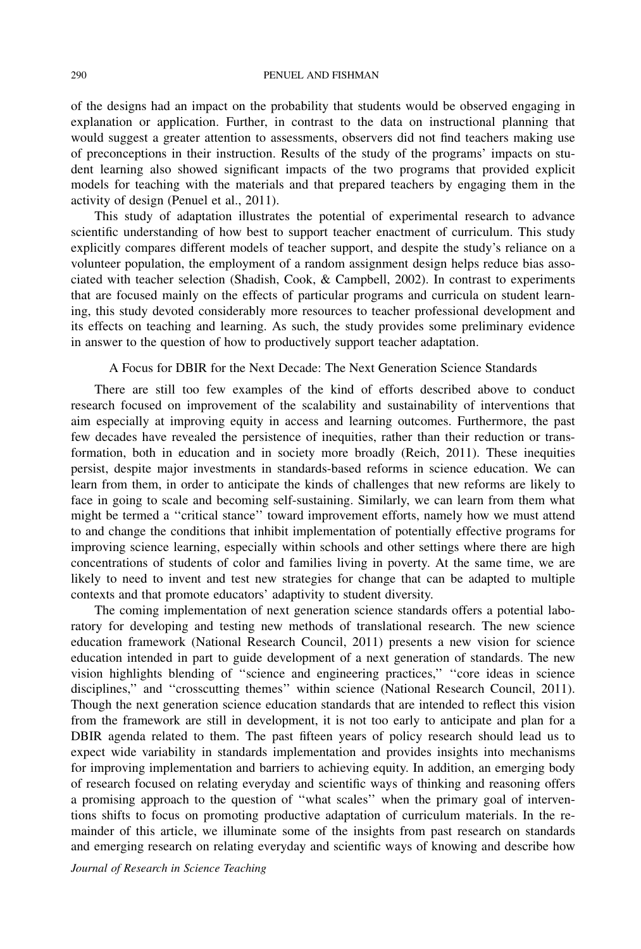of the designs had an impact on the probability that students would be observed engaging in explanation or application. Further, in contrast to the data on instructional planning that would suggest a greater attention to assessments, observers did not find teachers making use of preconceptions in their instruction. Results of the study of the programs' impacts on student learning also showed significant impacts of the two programs that provided explicit models for teaching with the materials and that prepared teachers by engaging them in the activity of design (Penuel et al., 2011).

This study of adaptation illustrates the potential of experimental research to advance scientific understanding of how best to support teacher enactment of curriculum. This study explicitly compares different models of teacher support, and despite the study's reliance on a volunteer population, the employment of a random assignment design helps reduce bias associated with teacher selection (Shadish, Cook, & Campbell, 2002). In contrast to experiments that are focused mainly on the effects of particular programs and curricula on student learning, this study devoted considerably more resources to teacher professional development and its effects on teaching and learning. As such, the study provides some preliminary evidence in answer to the question of how to productively support teacher adaptation.

### A Focus for DBIR for the Next Decade: The Next Generation Science Standards

There are still too few examples of the kind of efforts described above to conduct research focused on improvement of the scalability and sustainability of interventions that aim especially at improving equity in access and learning outcomes. Furthermore, the past few decades have revealed the persistence of inequities, rather than their reduction or transformation, both in education and in society more broadly (Reich, 2011). These inequities persist, despite major investments in standards-based reforms in science education. We can learn from them, in order to anticipate the kinds of challenges that new reforms are likely to face in going to scale and becoming self-sustaining. Similarly, we can learn from them what might be termed a ''critical stance'' toward improvement efforts, namely how we must attend to and change the conditions that inhibit implementation of potentially effective programs for improving science learning, especially within schools and other settings where there are high concentrations of students of color and families living in poverty. At the same time, we are likely to need to invent and test new strategies for change that can be adapted to multiple contexts and that promote educators' adaptivity to student diversity.

The coming implementation of next generation science standards offers a potential laboratory for developing and testing new methods of translational research. The new science education framework (National Research Council, 2011) presents a new vision for science education intended in part to guide development of a next generation of standards. The new vision highlights blending of ''science and engineering practices,'' ''core ideas in science disciplines," and "crosscutting themes" within science (National Research Council, 2011). Though the next generation science education standards that are intended to reflect this vision from the framework are still in development, it is not too early to anticipate and plan for a DBIR agenda related to them. The past fifteen years of policy research should lead us to expect wide variability in standards implementation and provides insights into mechanisms for improving implementation and barriers to achieving equity. In addition, an emerging body of research focused on relating everyday and scientific ways of thinking and reasoning offers a promising approach to the question of ''what scales'' when the primary goal of interventions shifts to focus on promoting productive adaptation of curriculum materials. In the remainder of this article, we illuminate some of the insights from past research on standards and emerging research on relating everyday and scientific ways of knowing and describe how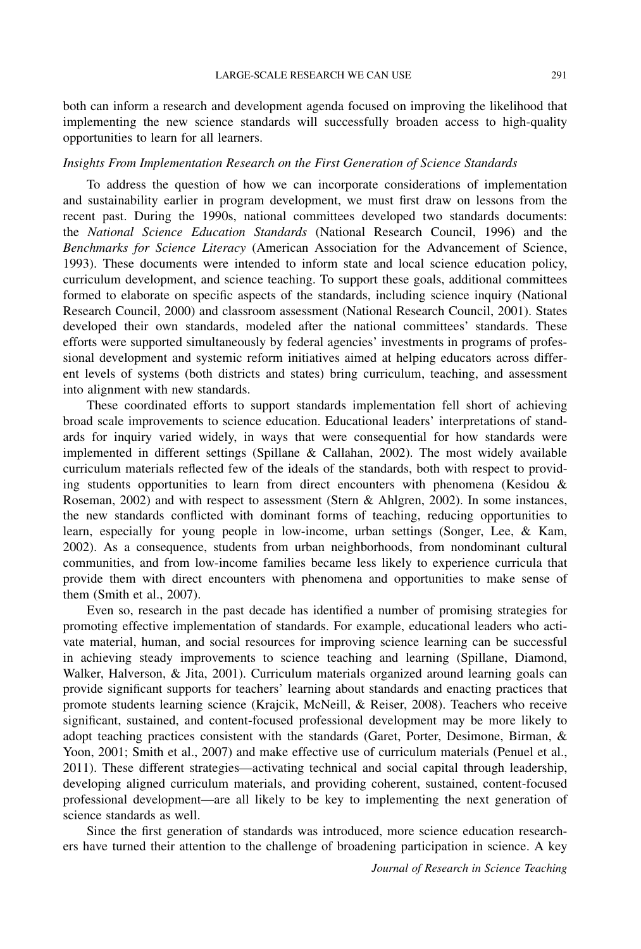both can inform a research and development agenda focused on improving the likelihood that implementing the new science standards will successfully broaden access to high-quality opportunities to learn for all learners.

### Insights From Implementation Research on the First Generation of Science Standards

To address the question of how we can incorporate considerations of implementation and sustainability earlier in program development, we must first draw on lessons from the recent past. During the 1990s, national committees developed two standards documents: the National Science Education Standards (National Research Council, 1996) and the Benchmarks for Science Literacy (American Association for the Advancement of Science, 1993). These documents were intended to inform state and local science education policy, curriculum development, and science teaching. To support these goals, additional committees formed to elaborate on specific aspects of the standards, including science inquiry (National Research Council, 2000) and classroom assessment (National Research Council, 2001). States developed their own standards, modeled after the national committees' standards. These efforts were supported simultaneously by federal agencies' investments in programs of professional development and systemic reform initiatives aimed at helping educators across different levels of systems (both districts and states) bring curriculum, teaching, and assessment into alignment with new standards.

These coordinated efforts to support standards implementation fell short of achieving broad scale improvements to science education. Educational leaders' interpretations of standards for inquiry varied widely, in ways that were consequential for how standards were implemented in different settings (Spillane & Callahan, 2002). The most widely available curriculum materials reflected few of the ideals of the standards, both with respect to providing students opportunities to learn from direct encounters with phenomena (Kesidou  $\&$ Roseman, 2002) and with respect to assessment (Stern & Ahlgren, 2002). In some instances, the new standards conflicted with dominant forms of teaching, reducing opportunities to learn, especially for young people in low-income, urban settings (Songer, Lee, & Kam, 2002). As a consequence, students from urban neighborhoods, from nondominant cultural communities, and from low-income families became less likely to experience curricula that provide them with direct encounters with phenomena and opportunities to make sense of them (Smith et al., 2007).

Even so, research in the past decade has identified a number of promising strategies for promoting effective implementation of standards. For example, educational leaders who activate material, human, and social resources for improving science learning can be successful in achieving steady improvements to science teaching and learning (Spillane, Diamond, Walker, Halverson, & Jita, 2001). Curriculum materials organized around learning goals can provide significant supports for teachers' learning about standards and enacting practices that promote students learning science (Krajcik, McNeill, & Reiser, 2008). Teachers who receive significant, sustained, and content-focused professional development may be more likely to adopt teaching practices consistent with the standards (Garet, Porter, Desimone, Birman, & Yoon, 2001; Smith et al., 2007) and make effective use of curriculum materials (Penuel et al., 2011). These different strategies—activating technical and social capital through leadership, developing aligned curriculum materials, and providing coherent, sustained, content-focused professional development—are all likely to be key to implementing the next generation of science standards as well.

Since the first generation of standards was introduced, more science education researchers have turned their attention to the challenge of broadening participation in science. A key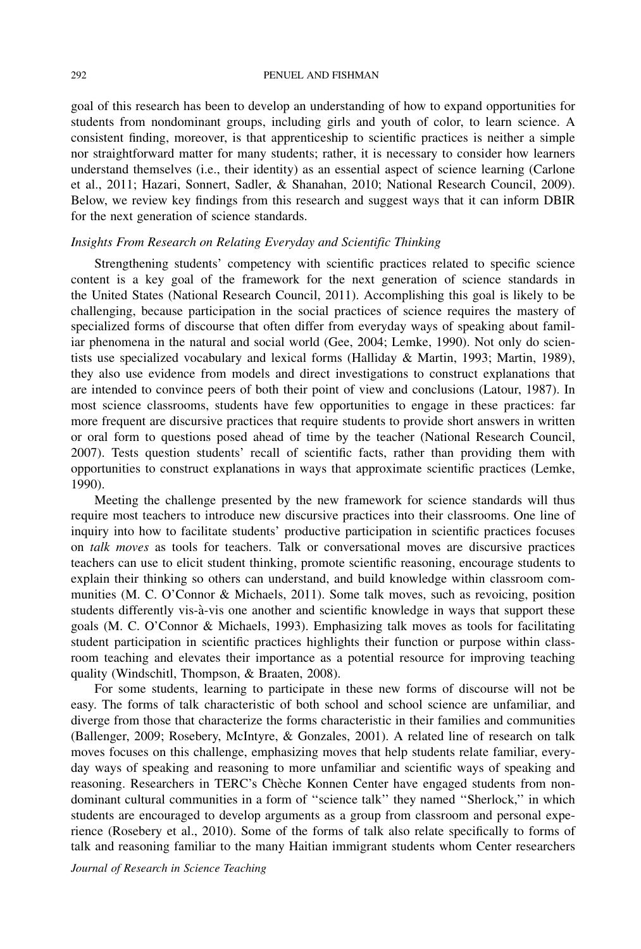#### 292 PENUEL AND FISHMAN

goal of this research has been to develop an understanding of how to expand opportunities for students from nondominant groups, including girls and youth of color, to learn science. A consistent finding, moreover, is that apprenticeship to scientific practices is neither a simple nor straightforward matter for many students; rather, it is necessary to consider how learners understand themselves (i.e., their identity) as an essential aspect of science learning (Carlone et al., 2011; Hazari, Sonnert, Sadler, & Shanahan, 2010; National Research Council, 2009). Below, we review key findings from this research and suggest ways that it can inform DBIR for the next generation of science standards.

### Insights From Research on Relating Everyday and Scientific Thinking

Strengthening students' competency with scientific practices related to specific science content is a key goal of the framework for the next generation of science standards in the United States (National Research Council, 2011). Accomplishing this goal is likely to be challenging, because participation in the social practices of science requires the mastery of specialized forms of discourse that often differ from everyday ways of speaking about familiar phenomena in the natural and social world (Gee, 2004; Lemke, 1990). Not only do scientists use specialized vocabulary and lexical forms (Halliday & Martin, 1993; Martin, 1989), they also use evidence from models and direct investigations to construct explanations that are intended to convince peers of both their point of view and conclusions (Latour, 1987). In most science classrooms, students have few opportunities to engage in these practices: far more frequent are discursive practices that require students to provide short answers in written or oral form to questions posed ahead of time by the teacher (National Research Council, 2007). Tests question students' recall of scientific facts, rather than providing them with opportunities to construct explanations in ways that approximate scientific practices (Lemke, 1990).

Meeting the challenge presented by the new framework for science standards will thus require most teachers to introduce new discursive practices into their classrooms. One line of inquiry into how to facilitate students' productive participation in scientific practices focuses on talk moves as tools for teachers. Talk or conversational moves are discursive practices teachers can use to elicit student thinking, promote scientific reasoning, encourage students to explain their thinking so others can understand, and build knowledge within classroom communities (M. C. O'Connor & Michaels, 2011). Some talk moves, such as revoicing, position students differently vis-à-vis one another and scientific knowledge in ways that support these goals (M. C. O'Connor & Michaels, 1993). Emphasizing talk moves as tools for facilitating student participation in scientific practices highlights their function or purpose within classroom teaching and elevates their importance as a potential resource for improving teaching quality (Windschitl, Thompson, & Braaten, 2008).

For some students, learning to participate in these new forms of discourse will not be easy. The forms of talk characteristic of both school and school science are unfamiliar, and diverge from those that characterize the forms characteristic in their families and communities (Ballenger, 2009; Rosebery, McIntyre, & Gonzales, 2001). A related line of research on talk moves focuses on this challenge, emphasizing moves that help students relate familiar, everyday ways of speaking and reasoning to more unfamiliar and scientific ways of speaking and reasoning. Researchers in TERC's Chèche Konnen Center have engaged students from nondominant cultural communities in a form of ''science talk'' they named ''Sherlock,'' in which students are encouraged to develop arguments as a group from classroom and personal experience (Rosebery et al., 2010). Some of the forms of talk also relate specifically to forms of talk and reasoning familiar to the many Haitian immigrant students whom Center researchers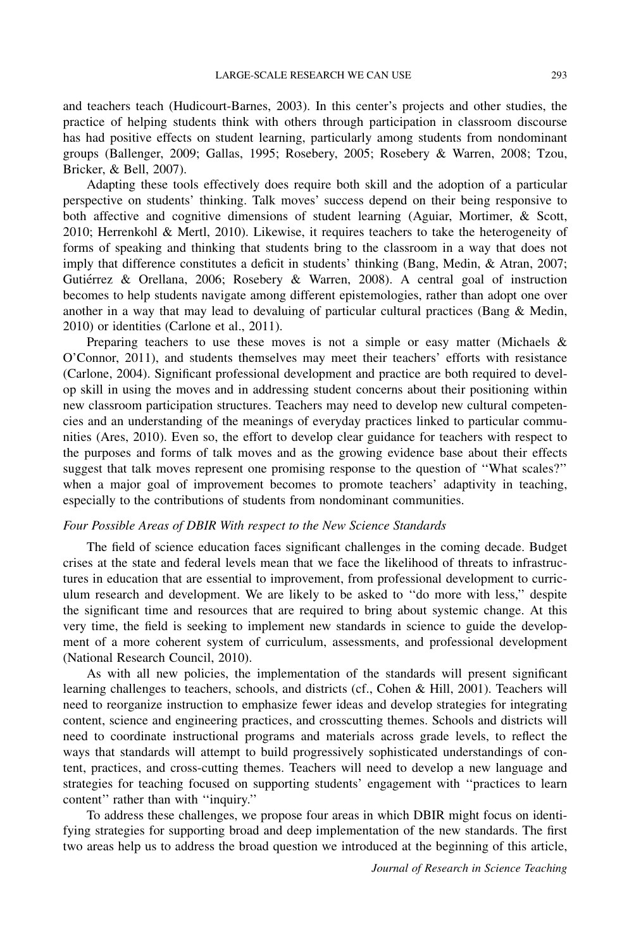and teachers teach (Hudicourt-Barnes, 2003). In this center's projects and other studies, the practice of helping students think with others through participation in classroom discourse has had positive effects on student learning, particularly among students from nondominant groups (Ballenger, 2009; Gallas, 1995; Rosebery, 2005; Rosebery & Warren, 2008; Tzou, Bricker, & Bell, 2007).

Adapting these tools effectively does require both skill and the adoption of a particular perspective on students' thinking. Talk moves' success depend on their being responsive to both affective and cognitive dimensions of student learning (Aguiar, Mortimer, & Scott, 2010; Herrenkohl & Mertl, 2010). Likewise, it requires teachers to take the heterogeneity of forms of speaking and thinking that students bring to the classroom in a way that does not imply that difference constitutes a deficit in students' thinking (Bang, Medin, & Atran, 2007; Gutiérrez & Orellana, 2006; Rosebery & Warren, 2008). A central goal of instruction becomes to help students navigate among different epistemologies, rather than adopt one over another in a way that may lead to devaluing of particular cultural practices (Bang & Medin, 2010) or identities (Carlone et al., 2011).

Preparing teachers to use these moves is not a simple or easy matter (Michaels  $\&$ O'Connor, 2011), and students themselves may meet their teachers' efforts with resistance (Carlone, 2004). Significant professional development and practice are both required to develop skill in using the moves and in addressing student concerns about their positioning within new classroom participation structures. Teachers may need to develop new cultural competencies and an understanding of the meanings of everyday practices linked to particular communities (Ares, 2010). Even so, the effort to develop clear guidance for teachers with respect to the purposes and forms of talk moves and as the growing evidence base about their effects suggest that talk moves represent one promising response to the question of ''What scales?'' when a major goal of improvement becomes to promote teachers' adaptivity in teaching, especially to the contributions of students from nondominant communities.

### Four Possible Areas of DBIR With respect to the New Science Standards

The field of science education faces significant challenges in the coming decade. Budget crises at the state and federal levels mean that we face the likelihood of threats to infrastructures in education that are essential to improvement, from professional development to curriculum research and development. We are likely to be asked to ''do more with less,'' despite the significant time and resources that are required to bring about systemic change. At this very time, the field is seeking to implement new standards in science to guide the development of a more coherent system of curriculum, assessments, and professional development (National Research Council, 2010).

As with all new policies, the implementation of the standards will present significant learning challenges to teachers, schools, and districts (cf., Cohen & Hill, 2001). Teachers will need to reorganize instruction to emphasize fewer ideas and develop strategies for integrating content, science and engineering practices, and crosscutting themes. Schools and districts will need to coordinate instructional programs and materials across grade levels, to reflect the ways that standards will attempt to build progressively sophisticated understandings of content, practices, and cross-cutting themes. Teachers will need to develop a new language and strategies for teaching focused on supporting students' engagement with ''practices to learn content'' rather than with ''inquiry.''

To address these challenges, we propose four areas in which DBIR might focus on identifying strategies for supporting broad and deep implementation of the new standards. The first two areas help us to address the broad question we introduced at the beginning of this article,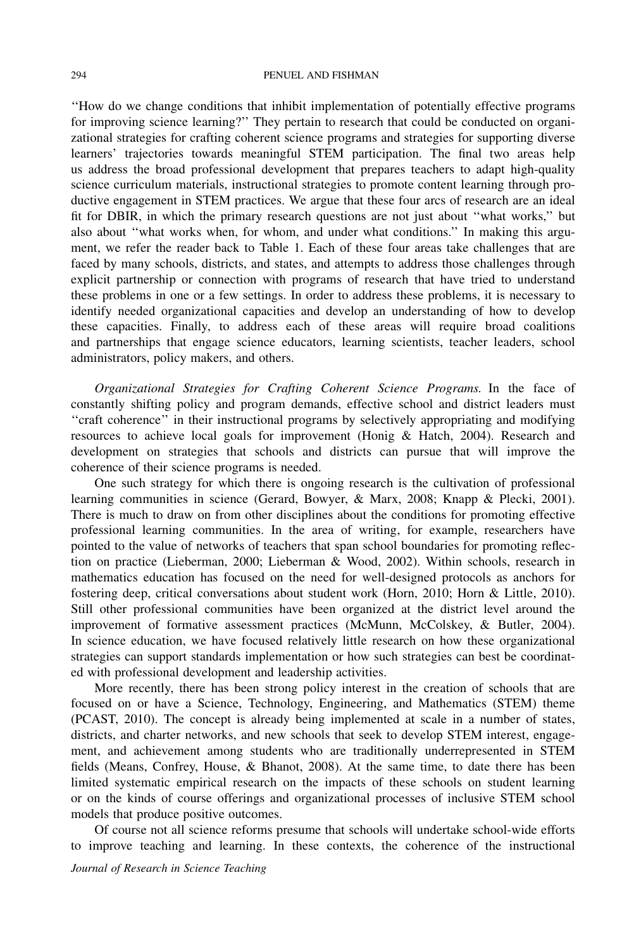#### 294 PENUEL AND FISHMAN

''How do we change conditions that inhibit implementation of potentially effective programs for improving science learning?'' They pertain to research that could be conducted on organizational strategies for crafting coherent science programs and strategies for supporting diverse learners' trajectories towards meaningful STEM participation. The final two areas help us address the broad professional development that prepares teachers to adapt high-quality science curriculum materials, instructional strategies to promote content learning through productive engagement in STEM practices. We argue that these four arcs of research are an ideal fit for DBIR, in which the primary research questions are not just about ''what works,'' but also about ''what works when, for whom, and under what conditions.'' In making this argument, we refer the reader back to Table 1. Each of these four areas take challenges that are faced by many schools, districts, and states, and attempts to address those challenges through explicit partnership or connection with programs of research that have tried to understand these problems in one or a few settings. In order to address these problems, it is necessary to identify needed organizational capacities and develop an understanding of how to develop these capacities. Finally, to address each of these areas will require broad coalitions and partnerships that engage science educators, learning scientists, teacher leaders, school administrators, policy makers, and others.

Organizational Strategies for Crafting Coherent Science Programs. In the face of constantly shifting policy and program demands, effective school and district leaders must ''craft coherence'' in their instructional programs by selectively appropriating and modifying resources to achieve local goals for improvement (Honig & Hatch, 2004). Research and development on strategies that schools and districts can pursue that will improve the coherence of their science programs is needed.

One such strategy for which there is ongoing research is the cultivation of professional learning communities in science (Gerard, Bowyer, & Marx, 2008; Knapp & Plecki, 2001). There is much to draw on from other disciplines about the conditions for promoting effective professional learning communities. In the area of writing, for example, researchers have pointed to the value of networks of teachers that span school boundaries for promoting reflection on practice (Lieberman, 2000; Lieberman & Wood, 2002). Within schools, research in mathematics education has focused on the need for well-designed protocols as anchors for fostering deep, critical conversations about student work (Horn, 2010; Horn & Little, 2010). Still other professional communities have been organized at the district level around the improvement of formative assessment practices (McMunn, McColskey, & Butler, 2004). In science education, we have focused relatively little research on how these organizational strategies can support standards implementation or how such strategies can best be coordinated with professional development and leadership activities.

More recently, there has been strong policy interest in the creation of schools that are focused on or have a Science, Technology, Engineering, and Mathematics (STEM) theme (PCAST, 2010). The concept is already being implemented at scale in a number of states, districts, and charter networks, and new schools that seek to develop STEM interest, engagement, and achievement among students who are traditionally underrepresented in STEM fields (Means, Confrey, House, & Bhanot, 2008). At the same time, to date there has been limited systematic empirical research on the impacts of these schools on student learning or on the kinds of course offerings and organizational processes of inclusive STEM school models that produce positive outcomes.

Of course not all science reforms presume that schools will undertake school-wide efforts to improve teaching and learning. In these contexts, the coherence of the instructional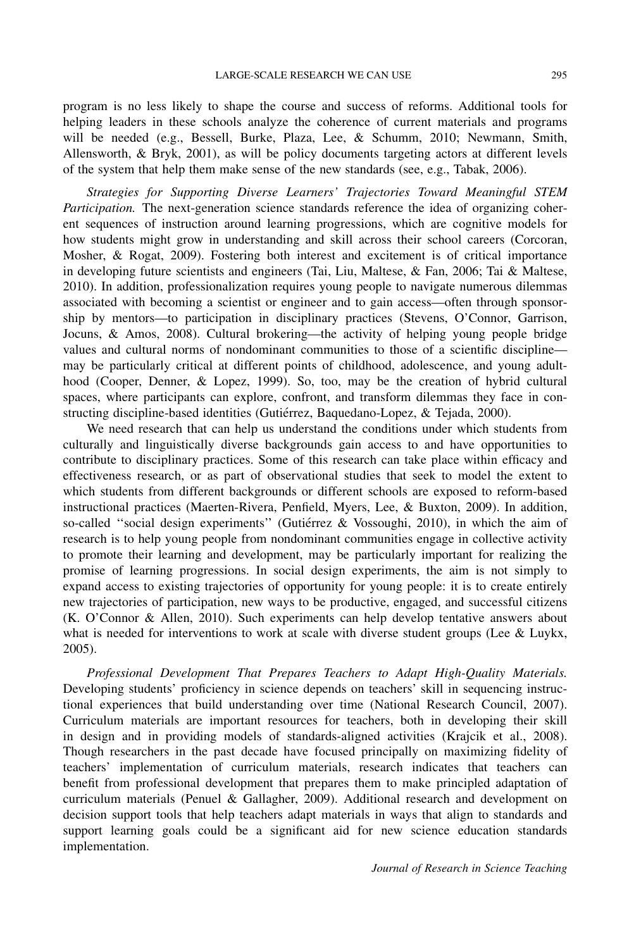program is no less likely to shape the course and success of reforms. Additional tools for helping leaders in these schools analyze the coherence of current materials and programs will be needed (e.g., Bessell, Burke, Plaza, Lee, & Schumm, 2010; Newmann, Smith, Allensworth, & Bryk, 2001), as will be policy documents targeting actors at different levels of the system that help them make sense of the new standards (see, e.g., Tabak, 2006).

Strategies for Supporting Diverse Learners' Trajectories Toward Meaningful STEM Participation. The next-generation science standards reference the idea of organizing coherent sequences of instruction around learning progressions, which are cognitive models for how students might grow in understanding and skill across their school careers (Corcoran, Mosher, & Rogat, 2009). Fostering both interest and excitement is of critical importance in developing future scientists and engineers (Tai, Liu, Maltese,  $\&$  Fan, 2006; Tai  $\&$  Maltese, 2010). In addition, professionalization requires young people to navigate numerous dilemmas associated with becoming a scientist or engineer and to gain access—often through sponsorship by mentors—to participation in disciplinary practices (Stevens, O'Connor, Garrison, Jocuns, & Amos, 2008). Cultural brokering—the activity of helping young people bridge values and cultural norms of nondominant communities to those of a scientific discipline may be particularly critical at different points of childhood, adolescence, and young adulthood (Cooper, Denner, & Lopez, 1999). So, too, may be the creation of hybrid cultural spaces, where participants can explore, confront, and transform dilemmas they face in constructing discipline-based identities (Gutiérrez, Baquedano-Lopez, & Tejada, 2000).

We need research that can help us understand the conditions under which students from culturally and linguistically diverse backgrounds gain access to and have opportunities to contribute to disciplinary practices. Some of this research can take place within efficacy and effectiveness research, or as part of observational studies that seek to model the extent to which students from different backgrounds or different schools are exposed to reform-based instructional practices (Maerten-Rivera, Penfield, Myers, Lee, & Buxton, 2009). In addition, so-called "social design experiments" (Gutiérrez & Vossoughi, 2010), in which the aim of research is to help young people from nondominant communities engage in collective activity to promote their learning and development, may be particularly important for realizing the promise of learning progressions. In social design experiments, the aim is not simply to expand access to existing trajectories of opportunity for young people: it is to create entirely new trajectories of participation, new ways to be productive, engaged, and successful citizens (K. O'Connor & Allen, 2010). Such experiments can help develop tentative answers about what is needed for interventions to work at scale with diverse student groups (Lee & Luykx, 2005).

Professional Development That Prepares Teachers to Adapt High-Quality Materials. Developing students' proficiency in science depends on teachers' skill in sequencing instructional experiences that build understanding over time (National Research Council, 2007). Curriculum materials are important resources for teachers, both in developing their skill in design and in providing models of standards-aligned activities (Krajcik et al., 2008). Though researchers in the past decade have focused principally on maximizing fidelity of teachers' implementation of curriculum materials, research indicates that teachers can benefit from professional development that prepares them to make principled adaptation of curriculum materials (Penuel & Gallagher, 2009). Additional research and development on decision support tools that help teachers adapt materials in ways that align to standards and support learning goals could be a significant aid for new science education standards implementation.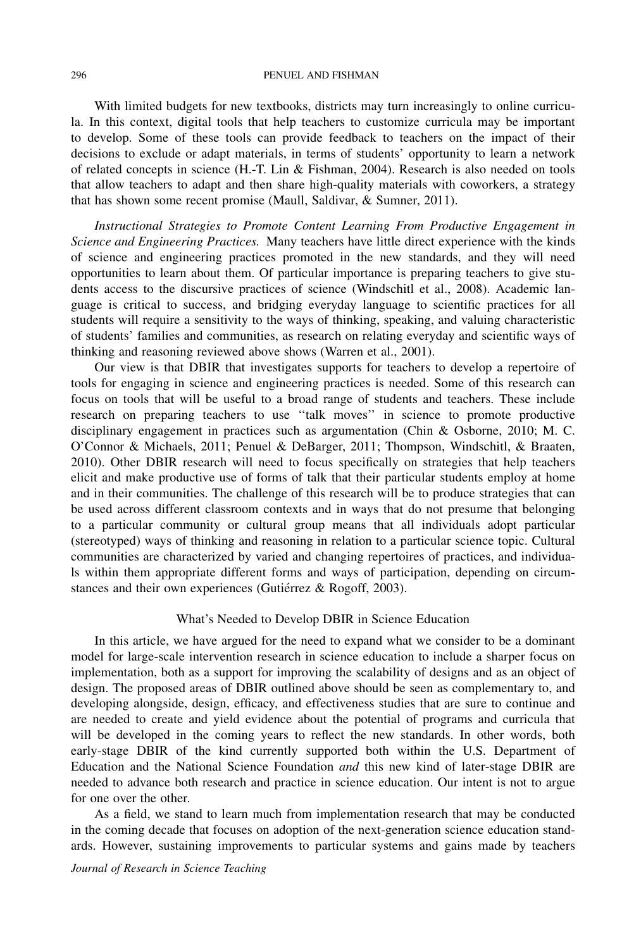#### 296 PENUEL AND FISHMAN

With limited budgets for new textbooks, districts may turn increasingly to online curricula. In this context, digital tools that help teachers to customize curricula may be important to develop. Some of these tools can provide feedback to teachers on the impact of their decisions to exclude or adapt materials, in terms of students' opportunity to learn a network of related concepts in science (H.-T. Lin & Fishman, 2004). Research is also needed on tools that allow teachers to adapt and then share high-quality materials with coworkers, a strategy that has shown some recent promise (Maull, Saldivar, & Sumner, 2011).

Instructional Strategies to Promote Content Learning From Productive Engagement in Science and Engineering Practices. Many teachers have little direct experience with the kinds of science and engineering practices promoted in the new standards, and they will need opportunities to learn about them. Of particular importance is preparing teachers to give students access to the discursive practices of science (Windschitl et al., 2008). Academic language is critical to success, and bridging everyday language to scientific practices for all students will require a sensitivity to the ways of thinking, speaking, and valuing characteristic of students' families and communities, as research on relating everyday and scientific ways of thinking and reasoning reviewed above shows (Warren et al., 2001).

Our view is that DBIR that investigates supports for teachers to develop a repertoire of tools for engaging in science and engineering practices is needed. Some of this research can focus on tools that will be useful to a broad range of students and teachers. These include research on preparing teachers to use ''talk moves'' in science to promote productive disciplinary engagement in practices such as argumentation (Chin & Osborne, 2010; M. C. O'Connor & Michaels, 2011; Penuel & DeBarger, 2011; Thompson, Windschitl, & Braaten, 2010). Other DBIR research will need to focus specifically on strategies that help teachers elicit and make productive use of forms of talk that their particular students employ at home and in their communities. The challenge of this research will be to produce strategies that can be used across different classroom contexts and in ways that do not presume that belonging to a particular community or cultural group means that all individuals adopt particular (stereotyped) ways of thinking and reasoning in relation to a particular science topic. Cultural communities are characterized by varied and changing repertoires of practices, and individuals within them appropriate different forms and ways of participation, depending on circumstances and their own experiences (Gutiérrez & Rogoff, 2003).

### What's Needed to Develop DBIR in Science Education

In this article, we have argued for the need to expand what we consider to be a dominant model for large-scale intervention research in science education to include a sharper focus on implementation, both as a support for improving the scalability of designs and as an object of design. The proposed areas of DBIR outlined above should be seen as complementary to, and developing alongside, design, efficacy, and effectiveness studies that are sure to continue and are needed to create and yield evidence about the potential of programs and curricula that will be developed in the coming years to reflect the new standards. In other words, both early-stage DBIR of the kind currently supported both within the U.S. Department of Education and the National Science Foundation and this new kind of later-stage DBIR are needed to advance both research and practice in science education. Our intent is not to argue for one over the other.

As a field, we stand to learn much from implementation research that may be conducted in the coming decade that focuses on adoption of the next-generation science education standards. However, sustaining improvements to particular systems and gains made by teachers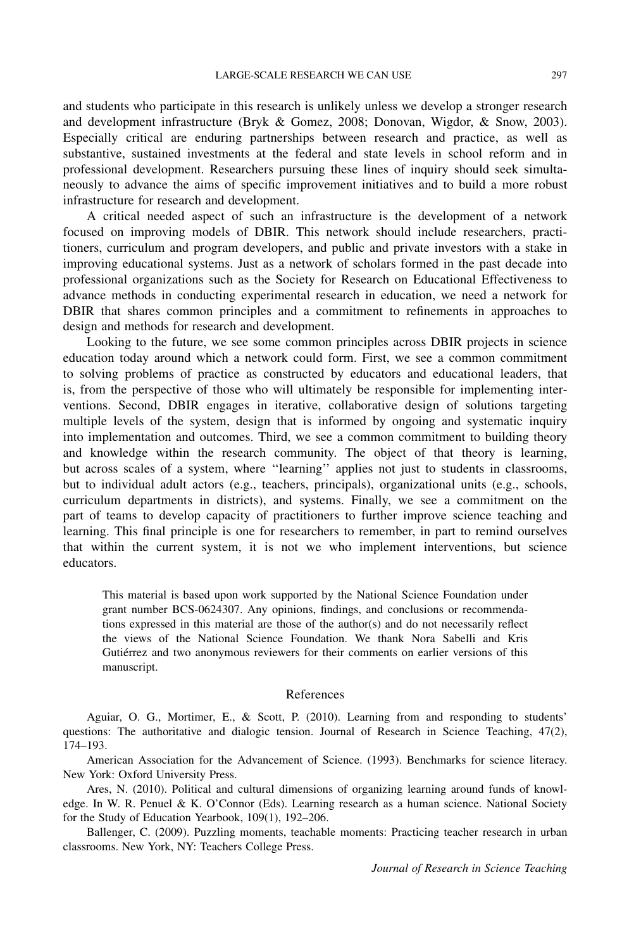and students who participate in this research is unlikely unless we develop a stronger research and development infrastructure (Bryk & Gomez, 2008; Donovan, Wigdor, & Snow, 2003). Especially critical are enduring partnerships between research and practice, as well as substantive, sustained investments at the federal and state levels in school reform and in professional development. Researchers pursuing these lines of inquiry should seek simultaneously to advance the aims of specific improvement initiatives and to build a more robust infrastructure for research and development.

A critical needed aspect of such an infrastructure is the development of a network focused on improving models of DBIR. This network should include researchers, practitioners, curriculum and program developers, and public and private investors with a stake in improving educational systems. Just as a network of scholars formed in the past decade into professional organizations such as the Society for Research on Educational Effectiveness to advance methods in conducting experimental research in education, we need a network for DBIR that shares common principles and a commitment to refinements in approaches to design and methods for research and development.

Looking to the future, we see some common principles across DBIR projects in science education today around which a network could form. First, we see a common commitment to solving problems of practice as constructed by educators and educational leaders, that is, from the perspective of those who will ultimately be responsible for implementing interventions. Second, DBIR engages in iterative, collaborative design of solutions targeting multiple levels of the system, design that is informed by ongoing and systematic inquiry into implementation and outcomes. Third, we see a common commitment to building theory and knowledge within the research community. The object of that theory is learning, but across scales of a system, where ''learning'' applies not just to students in classrooms, but to individual adult actors (e.g., teachers, principals), organizational units (e.g., schools, curriculum departments in districts), and systems. Finally, we see a commitment on the part of teams to develop capacity of practitioners to further improve science teaching and learning. This final principle is one for researchers to remember, in part to remind ourselves that within the current system, it is not we who implement interventions, but science educators.

This material is based upon work supported by the National Science Foundation under grant number BCS-0624307. Any opinions, findings, and conclusions or recommendations expressed in this material are those of the author(s) and do not necessarily reflect the views of the National Science Foundation. We thank Nora Sabelli and Kris Gutiérrez and two anonymous reviewers for their comments on earlier versions of this manuscript.

### References

Aguiar, O. G., Mortimer, E., & Scott, P. (2010). Learning from and responding to students' questions: The authoritative and dialogic tension. Journal of Research in Science Teaching, 47(2), 174–193.

American Association for the Advancement of Science. (1993). Benchmarks for science literacy. New York: Oxford University Press.

Ares, N. (2010). Political and cultural dimensions of organizing learning around funds of knowledge. In W. R. Penuel & K. O'Connor (Eds). Learning research as a human science. National Society for the Study of Education Yearbook, 109(1), 192–206.

Ballenger, C. (2009). Puzzling moments, teachable moments: Practicing teacher research in urban classrooms. New York, NY: Teachers College Press.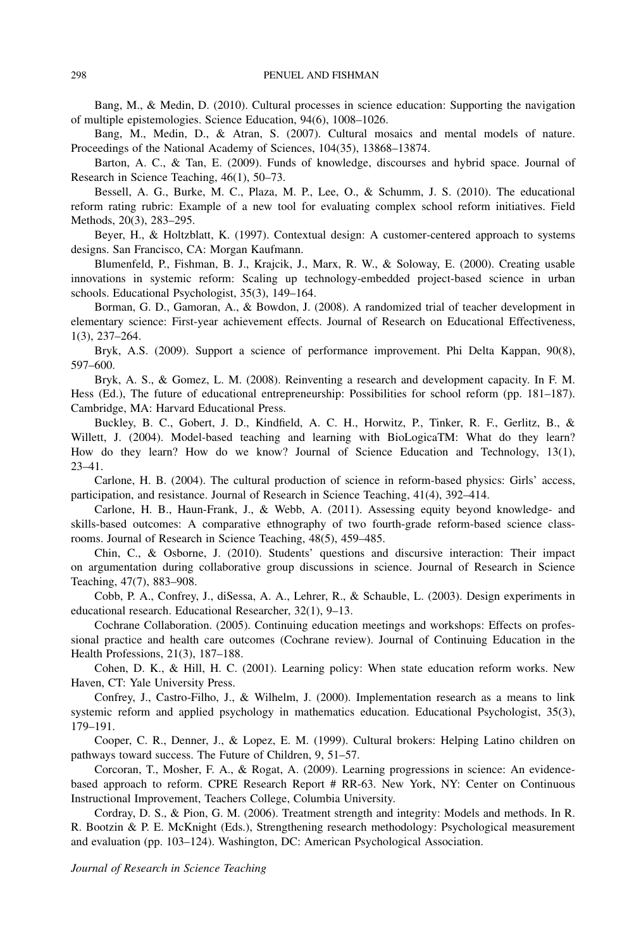Bang, M., & Medin, D. (2010). Cultural processes in science education: Supporting the navigation of multiple epistemologies. Science Education, 94(6), 1008–1026.

Bang, M., Medin, D., & Atran, S. (2007). Cultural mosaics and mental models of nature. Proceedings of the National Academy of Sciences, 104(35), 13868–13874.

Barton, A. C., & Tan, E. (2009). Funds of knowledge, discourses and hybrid space. Journal of Research in Science Teaching, 46(1), 50–73.

Bessell, A. G., Burke, M. C., Plaza, M. P., Lee, O., & Schumm, J. S. (2010). The educational reform rating rubric: Example of a new tool for evaluating complex school reform initiatives. Field Methods, 20(3), 283–295.

Beyer, H., & Holtzblatt, K. (1997). Contextual design: A customer-centered approach to systems designs. San Francisco, CA: Morgan Kaufmann.

Blumenfeld, P., Fishman, B. J., Krajcik, J., Marx, R. W., & Soloway, E. (2000). Creating usable innovations in systemic reform: Scaling up technology-embedded project-based science in urban schools. Educational Psychologist, 35(3), 149–164.

Borman, G. D., Gamoran, A., & Bowdon, J. (2008). A randomized trial of teacher development in elementary science: First-year achievement effects. Journal of Research on Educational Effectiveness, 1(3), 237–264.

Bryk, A.S. (2009). Support a science of performance improvement. Phi Delta Kappan, 90(8), 597–600.

Bryk, A. S., & Gomez, L. M. (2008). Reinventing a research and development capacity. In F. M. Hess (Ed.), The future of educational entrepreneurship: Possibilities for school reform (pp. 181–187). Cambridge, MA: Harvard Educational Press.

Buckley, B. C., Gobert, J. D., Kindfield, A. C. H., Horwitz, P., Tinker, R. F., Gerlitz, B., & Willett, J. (2004). Model-based teaching and learning with BioLogicaTM: What do they learn? How do they learn? How do we know? Journal of Science Education and Technology, 13(1), 23–41.

Carlone, H. B. (2004). The cultural production of science in reform-based physics: Girls' access, participation, and resistance. Journal of Research in Science Teaching, 41(4), 392–414.

Carlone, H. B., Haun-Frank, J., & Webb, A. (2011). Assessing equity beyond knowledge- and skills-based outcomes: A comparative ethnography of two fourth-grade reform-based science classrooms. Journal of Research in Science Teaching, 48(5), 459–485.

Chin, C., & Osborne, J. (2010). Students' questions and discursive interaction: Their impact on argumentation during collaborative group discussions in science. Journal of Research in Science Teaching, 47(7), 883–908.

Cobb, P. A., Confrey, J., diSessa, A. A., Lehrer, R., & Schauble, L. (2003). Design experiments in educational research. Educational Researcher, 32(1), 9–13.

Cochrane Collaboration. (2005). Continuing education meetings and workshops: Effects on professional practice and health care outcomes (Cochrane review). Journal of Continuing Education in the Health Professions, 21(3), 187–188.

Cohen, D. K., & Hill, H. C. (2001). Learning policy: When state education reform works. New Haven, CT: Yale University Press.

Confrey, J., Castro-Filho, J., & Wilhelm, J. (2000). Implementation research as a means to link systemic reform and applied psychology in mathematics education. Educational Psychologist, 35(3), 179–191.

Cooper, C. R., Denner, J., & Lopez, E. M. (1999). Cultural brokers: Helping Latino children on pathways toward success. The Future of Children, 9, 51–57.

Corcoran, T., Mosher, F. A., & Rogat, A. (2009). Learning progressions in science: An evidencebased approach to reform. CPRE Research Report # RR-63. New York, NY: Center on Continuous Instructional Improvement, Teachers College, Columbia University.

Cordray, D. S., & Pion, G. M. (2006). Treatment strength and integrity: Models and methods. In R. R. Bootzin & P. E. McKnight (Eds.), Strengthening research methodology: Psychological measurement and evaluation (pp. 103–124). Washington, DC: American Psychological Association.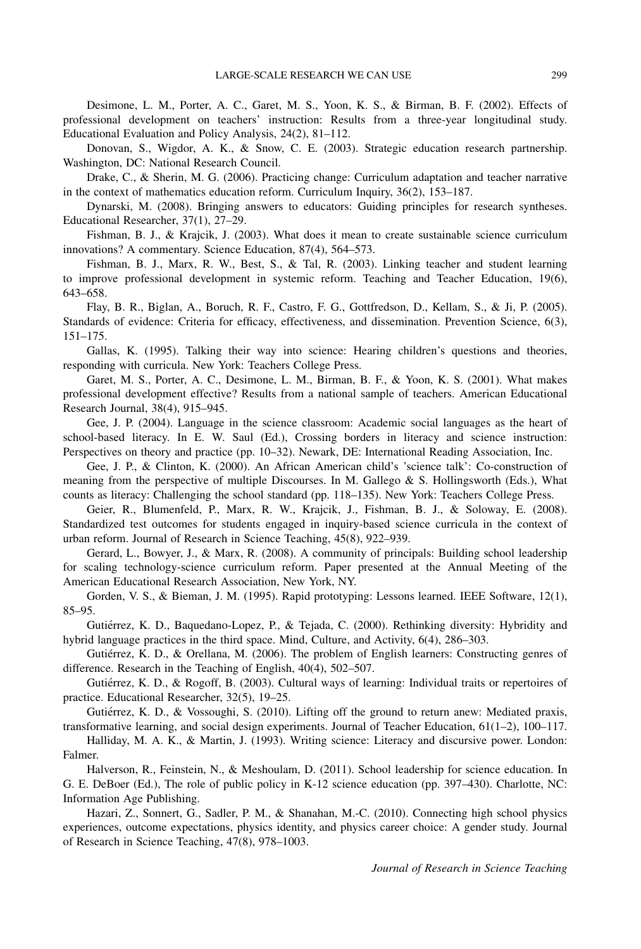Desimone, L. M., Porter, A. C., Garet, M. S., Yoon, K. S., & Birman, B. F. (2002). Effects of professional development on teachers' instruction: Results from a three-year longitudinal study. Educational Evaluation and Policy Analysis, 24(2), 81–112.

Donovan, S., Wigdor, A. K., & Snow, C. E. (2003). Strategic education research partnership. Washington, DC: National Research Council.

Drake, C., & Sherin, M. G. (2006). Practicing change: Curriculum adaptation and teacher narrative in the context of mathematics education reform. Curriculum Inquiry, 36(2), 153–187.

Dynarski, M. (2008). Bringing answers to educators: Guiding principles for research syntheses. Educational Researcher, 37(1), 27–29.

Fishman, B. J., & Krajcik, J. (2003). What does it mean to create sustainable science curriculum innovations? A commentary. Science Education, 87(4), 564–573.

Fishman, B. J., Marx, R. W., Best, S., & Tal, R. (2003). Linking teacher and student learning to improve professional development in systemic reform. Teaching and Teacher Education, 19(6), 643–658.

Flay, B. R., Biglan, A., Boruch, R. F., Castro, F. G., Gottfredson, D., Kellam, S., & Ji, P. (2005). Standards of evidence: Criteria for efficacy, effectiveness, and dissemination. Prevention Science, 6(3), 151–175.

Gallas, K. (1995). Talking their way into science: Hearing children's questions and theories, responding with curricula. New York: Teachers College Press.

Garet, M. S., Porter, A. C., Desimone, L. M., Birman, B. F., & Yoon, K. S. (2001). What makes professional development effective? Results from a national sample of teachers. American Educational Research Journal, 38(4), 915–945.

Gee, J. P. (2004). Language in the science classroom: Academic social languages as the heart of school-based literacy. In E. W. Saul (Ed.), Crossing borders in literacy and science instruction: Perspectives on theory and practice (pp. 10–32). Newark, DE: International Reading Association, Inc.

Gee, J. P., & Clinton, K. (2000). An African American child's 'science talk': Co-construction of meaning from the perspective of multiple Discourses. In M. Gallego & S. Hollingsworth (Eds.), What counts as literacy: Challenging the school standard (pp. 118–135). New York: Teachers College Press.

Geier, R., Blumenfeld, P., Marx, R. W., Krajcik, J., Fishman, B. J., & Soloway, E. (2008). Standardized test outcomes for students engaged in inquiry-based science curricula in the context of urban reform. Journal of Research in Science Teaching, 45(8), 922–939.

Gerard, L., Bowyer, J., & Marx, R. (2008). A community of principals: Building school leadership for scaling technology-science curriculum reform. Paper presented at the Annual Meeting of the American Educational Research Association, New York, NY.

Gorden, V. S., & Bieman, J. M. (1995). Rapid prototyping: Lessons learned. IEEE Software, 12(1), 85–95.

Gutiérrez, K. D., Baquedano-Lopez, P., & Tejada, C. (2000). Rethinking diversity: Hybridity and hybrid language practices in the third space. Mind, Culture, and Activity, 6(4), 286–303.

Gutiérrez, K. D., & Orellana, M. (2006). The problem of English learners: Constructing genres of difference. Research in the Teaching of English, 40(4), 502–507.

Gutiérrez, K. D., & Rogoff, B. (2003). Cultural ways of learning: Individual traits or repertoires of practice. Educational Researcher, 32(5), 19–25.

Gutiérrez, K. D., & Vossoughi, S. (2010). Lifting off the ground to return anew: Mediated praxis, transformative learning, and social design experiments. Journal of Teacher Education, 61(1–2), 100–117.

Halliday, M. A. K., & Martin, J. (1993). Writing science: Literacy and discursive power. London: Falmer.

Halverson, R., Feinstein, N., & Meshoulam, D. (2011). School leadership for science education. In G. E. DeBoer (Ed.), The role of public policy in K-12 science education (pp. 397–430). Charlotte, NC: Information Age Publishing.

Hazari, Z., Sonnert, G., Sadler, P. M., & Shanahan, M.-C. (2010). Connecting high school physics experiences, outcome expectations, physics identity, and physics career choice: A gender study. Journal of Research in Science Teaching, 47(8), 978–1003.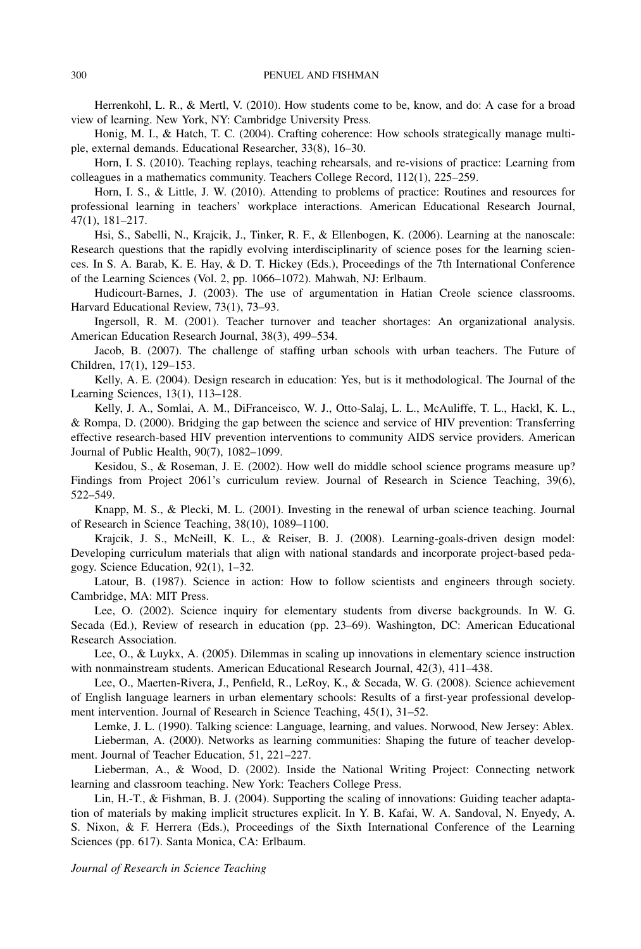Herrenkohl, L. R., & Mertl, V. (2010). How students come to be, know, and do: A case for a broad view of learning. New York, NY: Cambridge University Press.

Honig, M. I., & Hatch, T. C. (2004). Crafting coherence: How schools strategically manage multiple, external demands. Educational Researcher, 33(8), 16–30.

Horn, I. S. (2010). Teaching replays, teaching rehearsals, and re-visions of practice: Learning from colleagues in a mathematics community. Teachers College Record, 112(1), 225–259.

Horn, I. S., & Little, J. W. (2010). Attending to problems of practice: Routines and resources for professional learning in teachers' workplace interactions. American Educational Research Journal, 47(1), 181–217.

Hsi, S., Sabelli, N., Krajcik, J., Tinker, R. F., & Ellenbogen, K. (2006). Learning at the nanoscale: Research questions that the rapidly evolving interdisciplinarity of science poses for the learning sciences. In S. A. Barab, K. E. Hay, & D. T. Hickey (Eds.), Proceedings of the 7th International Conference of the Learning Sciences (Vol. 2, pp. 1066–1072). Mahwah, NJ: Erlbaum.

Hudicourt-Barnes, J. (2003). The use of argumentation in Hatian Creole science classrooms. Harvard Educational Review, 73(1), 73–93.

Ingersoll, R. M. (2001). Teacher turnover and teacher shortages: An organizational analysis. American Education Research Journal, 38(3), 499–534.

Jacob, B. (2007). The challenge of staffing urban schools with urban teachers. The Future of Children, 17(1), 129–153.

Kelly, A. E. (2004). Design research in education: Yes, but is it methodological. The Journal of the Learning Sciences, 13(1), 113–128.

Kelly, J. A., Somlai, A. M., DiFranceisco, W. J., Otto-Salaj, L. L., McAuliffe, T. L., Hackl, K. L., & Rompa, D. (2000). Bridging the gap between the science and service of HIV prevention: Transferring effective research-based HIV prevention interventions to community AIDS service providers. American Journal of Public Health, 90(7), 1082–1099.

Kesidou, S., & Roseman, J. E. (2002). How well do middle school science programs measure up? Findings from Project 2061's curriculum review. Journal of Research in Science Teaching, 39(6), 522–549.

Knapp, M. S., & Plecki, M. L. (2001). Investing in the renewal of urban science teaching. Journal of Research in Science Teaching, 38(10), 1089–1100.

Krajcik, J. S., McNeill, K. L., & Reiser, B. J. (2008). Learning-goals-driven design model: Developing curriculum materials that align with national standards and incorporate project-based pedagogy. Science Education, 92(1), 1–32.

Latour, B. (1987). Science in action: How to follow scientists and engineers through society. Cambridge, MA: MIT Press.

Lee, O. (2002). Science inquiry for elementary students from diverse backgrounds. In W. G. Secada (Ed.), Review of research in education (pp. 23–69). Washington, DC: American Educational Research Association.

Lee, O., & Luykx, A. (2005). Dilemmas in scaling up innovations in elementary science instruction with nonmainstream students. American Educational Research Journal, 42(3), 411–438.

Lee, O., Maerten-Rivera, J., Penfield, R., LeRoy, K., & Secada, W. G. (2008). Science achievement of English language learners in urban elementary schools: Results of a first-year professional development intervention. Journal of Research in Science Teaching, 45(1), 31–52.

Lemke, J. L. (1990). Talking science: Language, learning, and values. Norwood, New Jersey: Ablex.

Lieberman, A. (2000). Networks as learning communities: Shaping the future of teacher development. Journal of Teacher Education, 51, 221–227.

Lieberman, A., & Wood, D. (2002). Inside the National Writing Project: Connecting network learning and classroom teaching. New York: Teachers College Press.

Lin, H.-T., & Fishman, B. J. (2004). Supporting the scaling of innovations: Guiding teacher adaptation of materials by making implicit structures explicit. In Y. B. Kafai, W. A. Sandoval, N. Enyedy, A. S. Nixon, & F. Herrera (Eds.), Proceedings of the Sixth International Conference of the Learning Sciences (pp. 617). Santa Monica, CA: Erlbaum.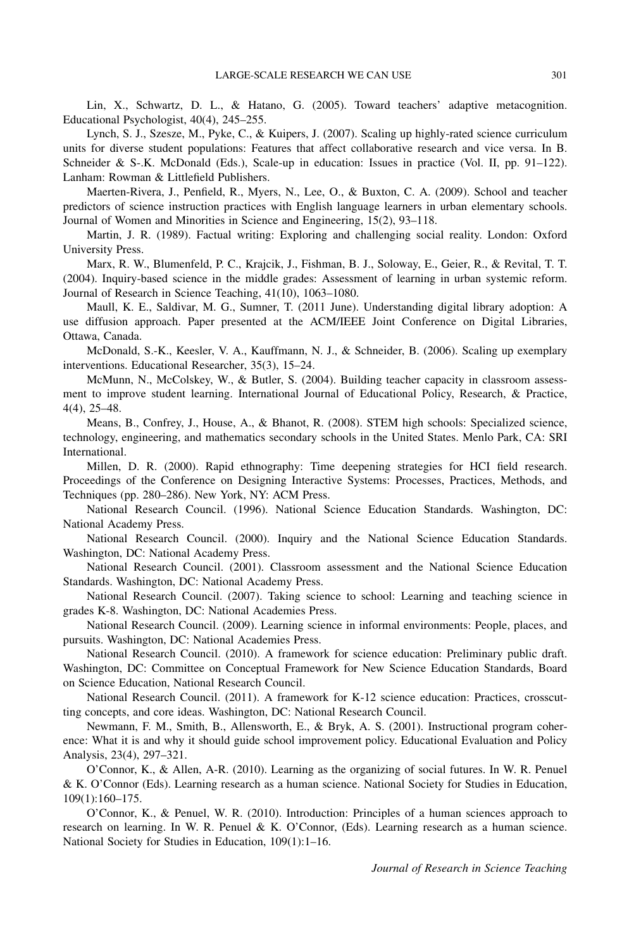Lin, X., Schwartz, D. L., & Hatano, G. (2005). Toward teachers' adaptive metacognition. Educational Psychologist, 40(4), 245–255.

Lynch, S. J., Szesze, M., Pyke, C., & Kuipers, J. (2007). Scaling up highly-rated science curriculum units for diverse student populations: Features that affect collaborative research and vice versa. In B. Schneider & S-.K. McDonald (Eds.), Scale-up in education: Issues in practice (Vol. II, pp. 91–122). Lanham: Rowman & Littlefield Publishers.

Maerten-Rivera, J., Penfield, R., Myers, N., Lee, O., & Buxton, C. A. (2009). School and teacher predictors of science instruction practices with English language learners in urban elementary schools. Journal of Women and Minorities in Science and Engineering, 15(2), 93–118.

Martin, J. R. (1989). Factual writing: Exploring and challenging social reality. London: Oxford University Press.

Marx, R. W., Blumenfeld, P. C., Krajcik, J., Fishman, B. J., Soloway, E., Geier, R., & Revital, T. T. (2004). Inquiry-based science in the middle grades: Assessment of learning in urban systemic reform. Journal of Research in Science Teaching, 41(10), 1063–1080.

Maull, K. E., Saldivar, M. G., Sumner, T. (2011 June). Understanding digital library adoption: A use diffusion approach. Paper presented at the ACM/IEEE Joint Conference on Digital Libraries, Ottawa, Canada.

McDonald, S.-K., Keesler, V. A., Kauffmann, N. J., & Schneider, B. (2006). Scaling up exemplary interventions. Educational Researcher, 35(3), 15–24.

McMunn, N., McColskey, W., & Butler, S. (2004). Building teacher capacity in classroom assessment to improve student learning. International Journal of Educational Policy, Research, & Practice, 4(4), 25–48.

Means, B., Confrey, J., House, A., & Bhanot, R. (2008). STEM high schools: Specialized science, technology, engineering, and mathematics secondary schools in the United States. Menlo Park, CA: SRI International.

Millen, D. R. (2000). Rapid ethnography: Time deepening strategies for HCI field research. Proceedings of the Conference on Designing Interactive Systems: Processes, Practices, Methods, and Techniques (pp. 280–286). New York, NY: ACM Press.

National Research Council. (1996). National Science Education Standards. Washington, DC: National Academy Press.

National Research Council. (2000). Inquiry and the National Science Education Standards. Washington, DC: National Academy Press.

National Research Council. (2001). Classroom assessment and the National Science Education Standards. Washington, DC: National Academy Press.

National Research Council. (2007). Taking science to school: Learning and teaching science in grades K-8. Washington, DC: National Academies Press.

National Research Council. (2009). Learning science in informal environments: People, places, and pursuits. Washington, DC: National Academies Press.

National Research Council. (2010). A framework for science education: Preliminary public draft. Washington, DC: Committee on Conceptual Framework for New Science Education Standards, Board on Science Education, National Research Council.

National Research Council. (2011). A framework for K-12 science education: Practices, crosscutting concepts, and core ideas. Washington, DC: National Research Council.

Newmann, F. M., Smith, B., Allensworth, E., & Bryk, A. S. (2001). Instructional program coherence: What it is and why it should guide school improvement policy. Educational Evaluation and Policy Analysis, 23(4), 297–321.

O'Connor, K., & Allen, A-R. (2010). Learning as the organizing of social futures. In W. R. Penuel & K. O'Connor (Eds). Learning research as a human science. National Society for Studies in Education, 109(1):160–175.

O'Connor, K., & Penuel, W. R. (2010). Introduction: Principles of a human sciences approach to research on learning. In W. R. Penuel & K. O'Connor, (Eds). Learning research as a human science. National Society for Studies in Education, 109(1):1–16.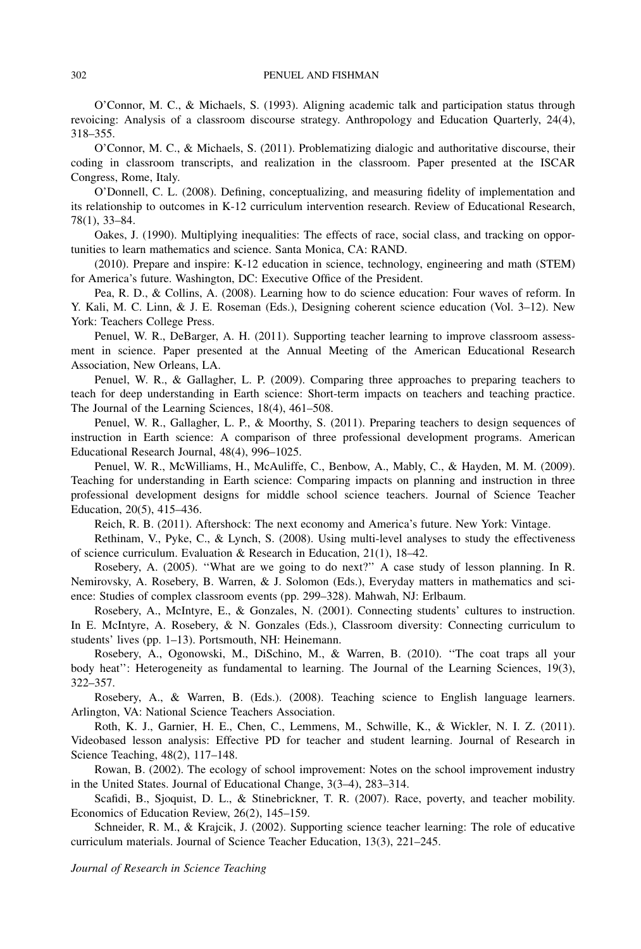O'Connor, M. C., & Michaels, S. (1993). Aligning academic talk and participation status through revoicing: Analysis of a classroom discourse strategy. Anthropology and Education Quarterly, 24(4), 318–355.

O'Connor, M. C., & Michaels, S. (2011). Problematizing dialogic and authoritative discourse, their coding in classroom transcripts, and realization in the classroom. Paper presented at the ISCAR Congress, Rome, Italy.

O'Donnell, C. L. (2008). Defining, conceptualizing, and measuring fidelity of implementation and its relationship to outcomes in K-12 curriculum intervention research. Review of Educational Research, 78(1), 33–84.

Oakes, J. (1990). Multiplying inequalities: The effects of race, social class, and tracking on opportunities to learn mathematics and science. Santa Monica, CA: RAND.

(2010). Prepare and inspire: K-12 education in science, technology, engineering and math (STEM) for America's future. Washington, DC: Executive Office of the President.

Pea, R. D., & Collins, A. (2008). Learning how to do science education: Four waves of reform. In Y. Kali, M. C. Linn, & J. E. Roseman (Eds.), Designing coherent science education (Vol. 3–12). New York: Teachers College Press.

Penuel, W. R., DeBarger, A. H. (2011). Supporting teacher learning to improve classroom assessment in science. Paper presented at the Annual Meeting of the American Educational Research Association, New Orleans, LA.

Penuel, W. R., & Gallagher, L. P. (2009). Comparing three approaches to preparing teachers to teach for deep understanding in Earth science: Short-term impacts on teachers and teaching practice. The Journal of the Learning Sciences, 18(4), 461–508.

Penuel, W. R., Gallagher, L. P., & Moorthy, S. (2011). Preparing teachers to design sequences of instruction in Earth science: A comparison of three professional development programs. American Educational Research Journal, 48(4), 996–1025.

Penuel, W. R., McWilliams, H., McAuliffe, C., Benbow, A., Mably, C., & Hayden, M. M. (2009). Teaching for understanding in Earth science: Comparing impacts on planning and instruction in three professional development designs for middle school science teachers. Journal of Science Teacher Education, 20(5), 415–436.

Reich, R. B. (2011). Aftershock: The next economy and America's future. New York: Vintage.

Rethinam, V., Pyke, C., & Lynch, S. (2008). Using multi-level analyses to study the effectiveness of science curriculum. Evaluation & Research in Education, 21(1), 18–42.

Rosebery, A. (2005). ''What are we going to do next?'' A case study of lesson planning. In R. Nemirovsky, A. Rosebery, B. Warren, & J. Solomon (Eds.), Everyday matters in mathematics and science: Studies of complex classroom events (pp. 299–328). Mahwah, NJ: Erlbaum.

Rosebery, A., McIntyre, E., & Gonzales, N. (2001). Connecting students' cultures to instruction. In E. McIntyre, A. Rosebery, & N. Gonzales (Eds.), Classroom diversity: Connecting curriculum to students' lives (pp. 1–13). Portsmouth, NH: Heinemann.

Rosebery, A., Ogonowski, M., DiSchino, M., & Warren, B. (2010). ''The coat traps all your body heat": Heterogeneity as fundamental to learning. The Journal of the Learning Sciences, 19(3), 322–357.

Rosebery, A., & Warren, B. (Eds.). (2008). Teaching science to English language learners. Arlington, VA: National Science Teachers Association.

Roth, K. J., Garnier, H. E., Chen, C., Lemmens, M., Schwille, K., & Wickler, N. I. Z. (2011). Videobased lesson analysis: Effective PD for teacher and student learning. Journal of Research in Science Teaching, 48(2), 117–148.

Rowan, B. (2002). The ecology of school improvement: Notes on the school improvement industry in the United States. Journal of Educational Change, 3(3–4), 283–314.

Scafidi, B., Sjoquist, D. L., & Stinebrickner, T. R. (2007). Race, poverty, and teacher mobility. Economics of Education Review, 26(2), 145–159.

Schneider, R. M., & Krajcik, J. (2002). Supporting science teacher learning: The role of educative curriculum materials. Journal of Science Teacher Education, 13(3), 221–245.

Journal of Research in Science Teaching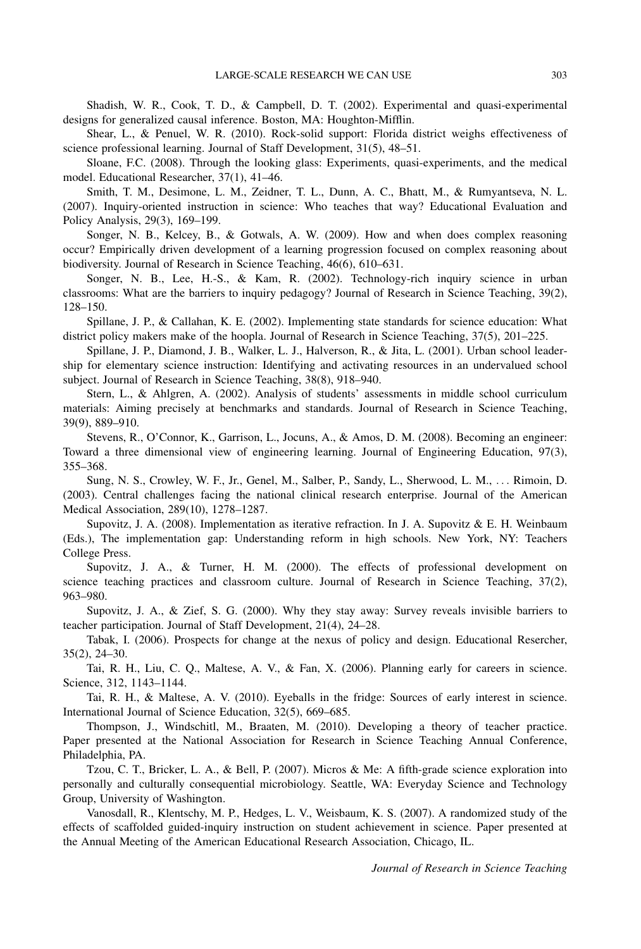Shadish, W. R., Cook, T. D., & Campbell, D. T. (2002). Experimental and quasi-experimental designs for generalized causal inference. Boston, MA: Houghton-Mifflin.

Shear, L., & Penuel, W. R. (2010). Rock-solid support: Florida district weighs effectiveness of science professional learning. Journal of Staff Development, 31(5), 48–51.

Sloane, F.C. (2008). Through the looking glass: Experiments, quasi-experiments, and the medical model. Educational Researcher, 37(1), 41–46.

Smith, T. M., Desimone, L. M., Zeidner, T. L., Dunn, A. C., Bhatt, M., & Rumyantseva, N. L. (2007). Inquiry-oriented instruction in science: Who teaches that way? Educational Evaluation and Policy Analysis, 29(3), 169–199.

Songer, N. B., Kelcey, B., & Gotwals, A. W. (2009). How and when does complex reasoning occur? Empirically driven development of a learning progression focused on complex reasoning about biodiversity. Journal of Research in Science Teaching, 46(6), 610–631.

Songer, N. B., Lee, H.-S., & Kam, R. (2002). Technology-rich inquiry science in urban classrooms: What are the barriers to inquiry pedagogy? Journal of Research in Science Teaching, 39(2), 128–150.

Spillane, J. P., & Callahan, K. E. (2002). Implementing state standards for science education: What district policy makers make of the hoopla. Journal of Research in Science Teaching, 37(5), 201–225.

Spillane, J. P., Diamond, J. B., Walker, L. J., Halverson, R., & Jita, L. (2001). Urban school leadership for elementary science instruction: Identifying and activating resources in an undervalued school subject. Journal of Research in Science Teaching, 38(8), 918–940.

Stern, L., & Ahlgren, A. (2002). Analysis of students' assessments in middle school curriculum materials: Aiming precisely at benchmarks and standards. Journal of Research in Science Teaching, 39(9), 889–910.

Stevens, R., O'Connor, K., Garrison, L., Jocuns, A., & Amos, D. M. (2008). Becoming an engineer: Toward a three dimensional view of engineering learning. Journal of Engineering Education, 97(3), 355–368.

Sung, N. S., Crowley, W. F., Jr., Genel, M., Salber, P., Sandy, L., Sherwood, L. M., ... Rimoin, D. (2003). Central challenges facing the national clinical research enterprise. Journal of the American Medical Association, 289(10), 1278–1287.

Supovitz, J. A. (2008). Implementation as iterative refraction. In J. A. Supovitz & E. H. Weinbaum (Eds.), The implementation gap: Understanding reform in high schools. New York, NY: Teachers College Press.

Supovitz, J. A., & Turner, H. M. (2000). The effects of professional development on science teaching practices and classroom culture. Journal of Research in Science Teaching, 37(2), 963–980.

Supovitz, J. A., & Zief, S. G. (2000). Why they stay away: Survey reveals invisible barriers to teacher participation. Journal of Staff Development, 21(4), 24–28.

Tabak, I. (2006). Prospects for change at the nexus of policy and design. Educational Resercher, 35(2), 24–30.

Tai, R. H., Liu, C. Q., Maltese, A. V., & Fan, X. (2006). Planning early for careers in science. Science, 312, 1143–1144.

Tai, R. H., & Maltese, A. V. (2010). Eyeballs in the fridge: Sources of early interest in science. International Journal of Science Education, 32(5), 669–685.

Thompson, J., Windschitl, M., Braaten, M. (2010). Developing a theory of teacher practice. Paper presented at the National Association for Research in Science Teaching Annual Conference, Philadelphia, PA.

Tzou, C. T., Bricker, L. A., & Bell, P. (2007). Micros & Me: A fifth-grade science exploration into personally and culturally consequential microbiology. Seattle, WA: Everyday Science and Technology Group, University of Washington.

Vanosdall, R., Klentschy, M. P., Hedges, L. V., Weisbaum, K. S. (2007). A randomized study of the effects of scaffolded guided-inquiry instruction on student achievement in science. Paper presented at the Annual Meeting of the American Educational Research Association, Chicago, IL.